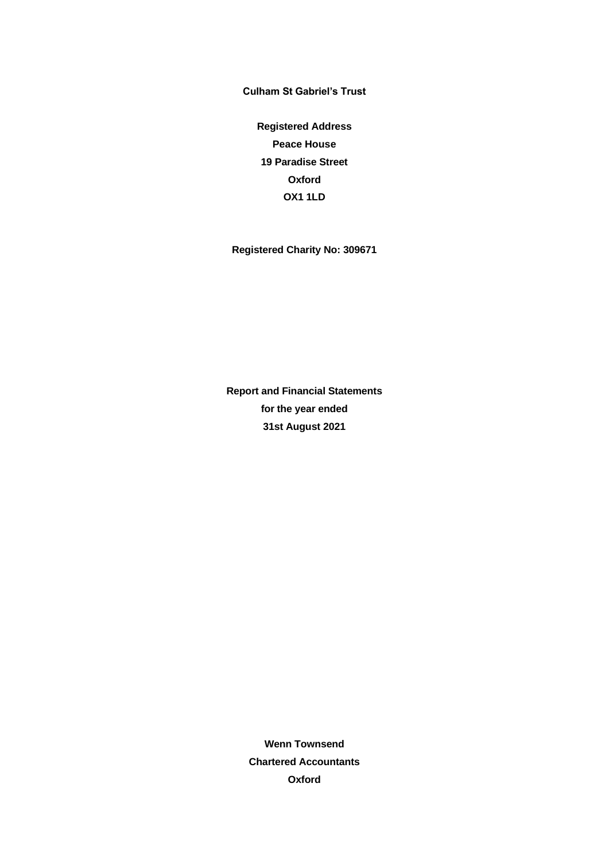**Registered Address Peace House 19 Paradise Street Oxford OX1 1LD**

**Registered Charity No: 309671**

**Report and Financial Statements for the year ended 31st August 2021**

> **Wenn Townsend Chartered Accountants Oxford**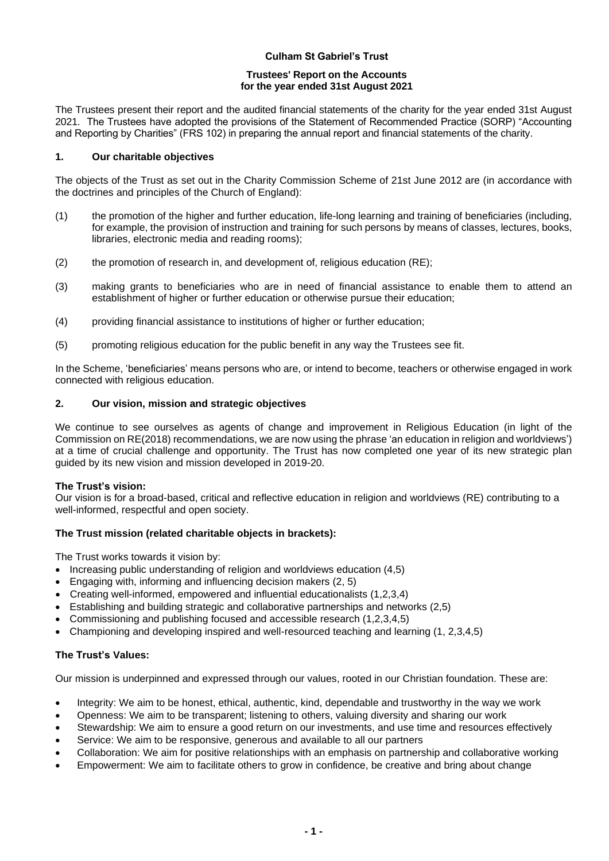## **Trustees' Report on the Accounts for the year ended 31st August 2021**

The Trustees present their report and the audited financial statements of the charity for the year ended 31st August 2021. The Trustees have adopted the provisions of the Statement of Recommended Practice (SORP) "Accounting and Reporting by Charities" (FRS 102) in preparing the annual report and financial statements of the charity.

## **1. Our charitable objectives**

The objects of the Trust as set out in the Charity Commission Scheme of 21st June 2012 are (in accordance with the doctrines and principles of the Church of England):

- (1) the promotion of the higher and further education, life-long learning and training of beneficiaries (including, for example, the provision of instruction and training for such persons by means of classes, lectures, books, libraries, electronic media and reading rooms);
- (2) the promotion of research in, and development of, religious education (RE);
- (3) making grants to beneficiaries who are in need of financial assistance to enable them to attend an establishment of higher or further education or otherwise pursue their education;
- (4) providing financial assistance to institutions of higher or further education;
- (5) promoting religious education for the public benefit in any way the Trustees see fit.

In the Scheme, 'beneficiaries' means persons who are, or intend to become, teachers or otherwise engaged in work connected with religious education.

# **2. Our vision, mission and strategic objectives**

We continue to see ourselves as agents of change and improvement in Religious Education (in light of the Commission on RE(2018) recommendations, we are now using the phrase 'an education in religion and worldviews') at a time of crucial challenge and opportunity. The Trust has now completed one year of its new strategic plan guided by its new vision and mission developed in 2019-20.

# **The Trust's vision:**

Our vision is for a broad-based, critical and reflective education in religion and worldviews (RE) contributing to a well-informed, respectful and open society.

# **The Trust mission (related charitable objects in brackets):**

The Trust works towards it vision by:

- Increasing public understanding of religion and worldviews education (4,5)
- Engaging with, informing and influencing decision makers (2, 5)
- Creating well-informed, empowered and influential educationalists (1,2,3,4)
- Establishing and building strategic and collaborative partnerships and networks (2,5)
- Commissioning and publishing focused and accessible research (1,2,3,4,5)
- Championing and developing inspired and well-resourced teaching and learning (1, 2,3,4,5)

# **The Trust's Values:**

Our mission is underpinned and expressed through our values, rooted in our Christian foundation. These are:

- Integrity: We aim to be honest, ethical, authentic, kind, dependable and trustworthy in the way we work
- Openness: We aim to be transparent; listening to others, valuing diversity and sharing our work
- Stewardship: We aim to ensure a good return on our investments, and use time and resources effectively
- Service: We aim to be responsive, generous and available to all our partners
- Collaboration: We aim for positive relationships with an emphasis on partnership and collaborative working
- Empowerment: We aim to facilitate others to grow in confidence, be creative and bring about change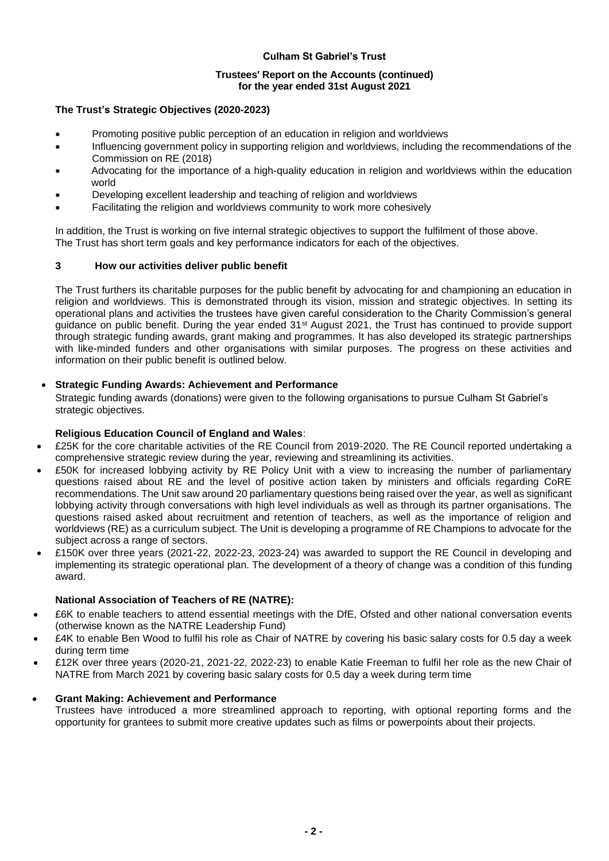# **Trustees' Report on the Accounts (continued) for the year ended 31st August 2021**

## **The Trust's Strategic Objectives (2020-2023)**

- Promoting positive public perception of an education in religion and worldviews
- Influencing government policy in supporting religion and worldviews, including the recommendations of the Commission on RE (2018)
- Advocating for the importance of a high-quality education in religion and worldviews within the education world
- Developing excellent leadership and teaching of religion and worldviews
- Facilitating the religion and worldviews community to work more cohesively

In addition, the Trust is working on five internal strategic objectives to support the fulfilment of those above. The Trust has short term goals and key performance indicators for each of the objectives.

# **3 How our activities deliver public benefit**

The Trust furthers its charitable purposes for the public benefit by advocating for and championing an education in religion and worldviews. This is demonstrated through its vision, mission and strategic objectives. In setting its operational plans and activities the trustees have given careful consideration to the Charity Commission's general guidance on public benefit. During the year ended 31st August 2021, the Trust has continued to provide support through strategic funding awards, grant making and programmes. It has also developed its strategic partnerships with like-minded funders and other organisations with similar purposes. The progress on these activities and information on their public benefit is outlined below.

# • **Strategic Funding Awards: Achievement and Performance**

Strategic funding awards (donations) were given to the following organisations to pursue Culham St Gabriel's strategic objectives.

# **Religious Education Council of England and Wales**:

- £25K for the core charitable activities of the RE Council from 2019-2020. The RE Council reported undertaking a comprehensive strategic review during the year, reviewing and streamlining its activities.
- £50K for increased lobbying activity by RE Policy Unit with a view to increasing the number of parliamentary questions raised about RE and the level of positive action taken by ministers and officials regarding CoRE recommendations. The Unit saw around 20 parliamentary questions being raised over the year, as well as significant lobbying activity through conversations with high level individuals as well as through its partner organisations. The questions raised asked about recruitment and retention of teachers, as well as the importance of religion and worldviews (RE) as a curriculum subject. The Unit is developing a programme of RE Champions to advocate for the subject across a range of sectors.
- £150K over three years (2021-22, 2022-23, 2023-24) was awarded to support the RE Council in developing and implementing its strategic operational plan. The development of a theory of change was a condition of this funding award.

# **National Association of Teachers of RE (NATRE):**

- £6K to enable teachers to attend essential meetings with the DfE, Ofsted and other national conversation events (otherwise known as the NATRE Leadership Fund)
- £4K to enable Ben Wood to fulfil his role as Chair of NATRE by covering his basic salary costs for 0.5 day a week during term time
- £12K over three years (2020-21, 2021-22, 2022-23) to enable Katie Freeman to fulfil her role as the new Chair of NATRE from March 2021 by covering basic salary costs for 0.5 day a week during term time

# • **Grant Making: Achievement and Performance**

Trustees have introduced a more streamlined approach to reporting, with optional reporting forms and the opportunity for grantees to submit more creative updates such as films or powerpoints about their projects.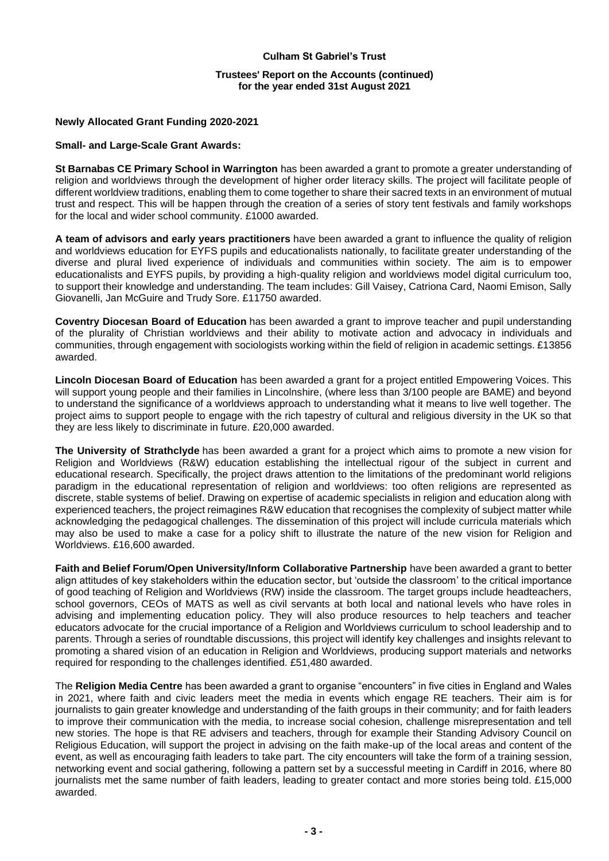## **Trustees' Report on the Accounts (continued) for the year ended 31st August 2021**

## **Newly Allocated Grant Funding 2020-2021**

#### **Small- and Large-Scale Grant Awards:**

**St Barnabas CE Primary School in Warrington** has been awarded a grant to promote a greater understanding of religion and worldviews through the development of higher order literacy skills. The project will facilitate people of different worldview traditions, enabling them to come together to share their sacred texts in an environment of mutual trust and respect. This will be happen through the creation of a series of story tent festivals and family workshops for the local and wider school community. £1000 awarded.

**A team of advisors and early years practitioners** have been awarded a grant to influence the quality of religion and worldviews education for EYFS pupils and educationalists nationally, to facilitate greater understanding of the diverse and plural lived experience of individuals and communities within society. The aim is to empower educationalists and EYFS pupils, by providing a high-quality religion and worldviews model digital curriculum too, to support their knowledge and understanding. The team includes: Gill Vaisey, Catriona Card, Naomi Emison, Sally Giovanelli, Jan McGuire and Trudy Sore. £11750 awarded.

**Coventry Diocesan Board of Education** has been awarded a grant to improve teacher and pupil understanding of the plurality of Christian worldviews and their ability to motivate action and advocacy in individuals and communities, through engagement with sociologists working within the field of religion in academic settings. £13856 awarded.

**Lincoln Diocesan Board of Education** has been awarded a grant for a project entitled Empowering Voices. This will support young people and their families in Lincolnshire, (where less than 3/100 people are BAME) and beyond to understand the significance of a worldviews approach to understanding what it means to live well together. The project aims to support people to engage with the rich tapestry of cultural and religious diversity in the UK so that they are less likely to discriminate in future. £20,000 awarded.

**The University of Strathclyde** has been awarded a grant for a project which aims to promote a new vision for Religion and Worldviews (R&W) education establishing the intellectual rigour of the subject in current and educational research. Specifically, the project draws attention to the limitations of the predominant world religions paradigm in the educational representation of religion and worldviews: too often religions are represented as discrete, stable systems of belief. Drawing on expertise of academic specialists in religion and education along with experienced teachers, the project reimagines R&W education that recognises the complexity of subject matter while acknowledging the pedagogical challenges. The dissemination of this project will include curricula materials which may also be used to make a case for a policy shift to illustrate the nature of the new vision for Religion and Worldviews. £16,600 awarded.

**Faith and Belief Forum/Open University/Inform Collaborative Partnership** have been awarded a grant to better align attitudes of key stakeholders within the education sector, but 'outside the classroom' to the critical importance of good teaching of Religion and Worldviews (RW) inside the classroom. The target groups include headteachers, school governors, CEOs of MATS as well as civil servants at both local and national levels who have roles in advising and implementing education policy. They will also produce resources to help teachers and teacher educators advocate for the crucial importance of a Religion and Worldviews curriculum to school leadership and to parents. Through a series of roundtable discussions, this project will identify key challenges and insights relevant to promoting a shared vision of an education in Religion and Worldviews, producing support materials and networks required for responding to the challenges identified. £51,480 awarded.

The **Religion Media Centre** has been awarded a grant to organise "encounters" in five cities in England and Wales in 2021, where faith and civic leaders meet the media in events which engage RE teachers. Their aim is for journalists to gain greater knowledge and understanding of the faith groups in their community; and for faith leaders to improve their communication with the media, to increase social cohesion, challenge misrepresentation and tell new stories. The hope is that RE advisers and teachers, through for example their Standing Advisory Council on Religious Education, will support the project in advising on the faith make-up of the local areas and content of the event, as well as encouraging faith leaders to take part. The city encounters will take the form of a training session, networking event and social gathering, following a pattern set by a successful meeting in Cardiff in 2016, where 80 journalists met the same number of faith leaders, leading to greater contact and more stories being told. £15,000 awarded.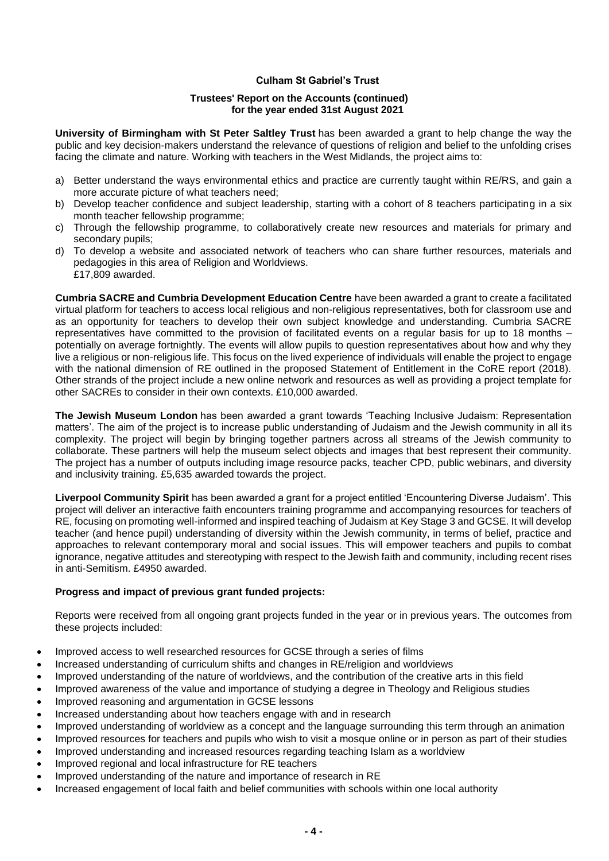#### **Trustees' Report on the Accounts (continued) for the year ended 31st August 2021**

**University of Birmingham with St Peter Saltley Trust** has been awarded a grant to help change the way the public and key decision-makers understand the relevance of questions of religion and belief to the unfolding crises facing the climate and nature. Working with teachers in the West Midlands, the project aims to:

- a) Better understand the ways environmental ethics and practice are currently taught within RE/RS, and gain a more accurate picture of what teachers need;
- b) Develop teacher confidence and subject leadership, starting with a cohort of 8 teachers participating in a six month teacher fellowship programme;
- c) Through the fellowship programme, to collaboratively create new resources and materials for primary and secondary pupils;
- d) To develop a website and associated network of teachers who can share further resources, materials and pedagogies in this area of Religion and Worldviews. £17,809 awarded.

**Cumbria SACRE and Cumbria Development Education Centre** have been awarded a grant to create a facilitated virtual platform for teachers to access local religious and non-religious representatives, both for classroom use and as an opportunity for teachers to develop their own subject knowledge and understanding. Cumbria SACRE representatives have committed to the provision of facilitated events on a regular basis for up to 18 months – potentially on average fortnightly. The events will allow pupils to question representatives about how and why they live a religious or non-religious life. This focus on the lived experience of individuals will enable the project to engage with the national dimension of RE outlined in the proposed Statement of Entitlement in the CoRE report (2018). Other strands of the project include a new online network and resources as well as providing a project template for other SACREs to consider in their own contexts. £10,000 awarded.

**The Jewish Museum London** has been awarded a grant towards 'Teaching Inclusive Judaism: Representation matters'. The aim of the project is to increase public understanding of Judaism and the Jewish community in all its complexity. The project will begin by bringing together partners across all streams of the Jewish community to collaborate. These partners will help the museum select objects and images that best represent their community. The project has a number of outputs including image resource packs, teacher CPD, public webinars, and diversity and inclusivity training. £5,635 awarded towards the project.

**Liverpool Community Spirit** has been awarded a grant for a project entitled 'Encountering Diverse Judaism'. This project will deliver an interactive faith encounters training programme and accompanying resources for teachers of RE, focusing on promoting well-informed and inspired teaching of Judaism at Key Stage 3 and GCSE. It will develop teacher (and hence pupil) understanding of diversity within the Jewish community, in terms of belief, practice and approaches to relevant contemporary moral and social issues. This will empower teachers and pupils to combat ignorance, negative attitudes and stereotyping with respect to the Jewish faith and community, including recent rises in anti-Semitism. £4950 awarded.

# **Progress and impact of previous grant funded projects:**

Reports were received from all ongoing grant projects funded in the year or in previous years. The outcomes from these projects included:

- Improved access to well researched resources for GCSE through a series of films
- Increased understanding of curriculum shifts and changes in RE/religion and worldviews
- Improved understanding of the nature of worldviews, and the contribution of the creative arts in this field
- Improved awareness of the value and importance of studying a degree in Theology and Religious studies
- Improved reasoning and argumentation in GCSE lessons
- Increased understanding about how teachers engage with and in research
- Improved understanding of worldview as a concept and the language surrounding this term through an animation
- Improved resources for teachers and pupils who wish to visit a mosque online or in person as part of their studies
- Improved understanding and increased resources regarding teaching Islam as a worldview
- Improved regional and local infrastructure for RE teachers
- Improved understanding of the nature and importance of research in RE
- Increased engagement of local faith and belief communities with schools within one local authority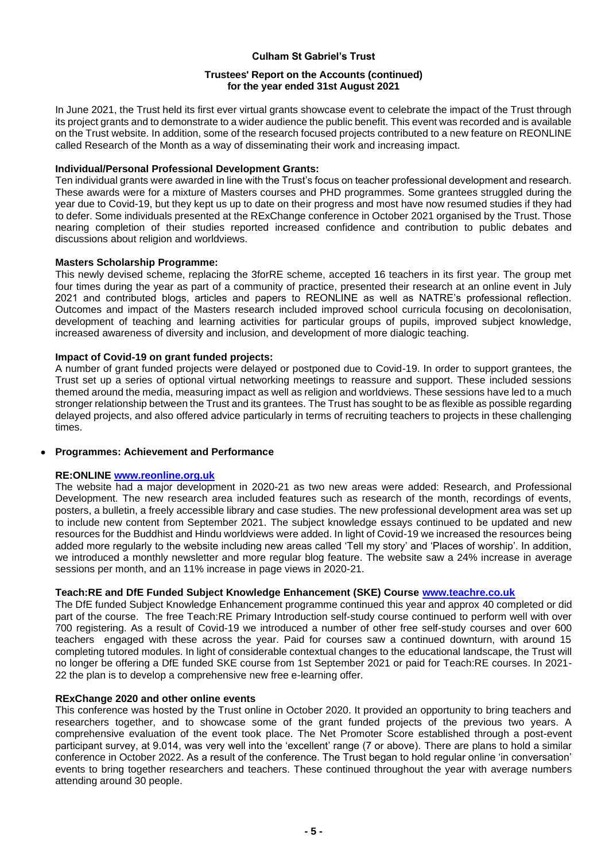## **Trustees' Report on the Accounts (continued) for the year ended 31st August 2021**

In June 2021, the Trust held its first ever virtual grants showcase event to celebrate the impact of the Trust through its project grants and to demonstrate to a wider audience the public benefit. This event was recorded and is available on the Trust website. In addition, some of the research focused projects contributed to a new feature on REONLINE called Research of the Month as a way of disseminating their work and increasing impact.

## **Individual/Personal Professional Development Grants:**

Ten individual grants were awarded in line with the Trust's focus on teacher professional development and research. These awards were for a mixture of Masters courses and PHD programmes. Some grantees struggled during the year due to Covid-19, but they kept us up to date on their progress and most have now resumed studies if they had to defer. Some individuals presented at the RExChange conference in October 2021 organised by the Trust. Those nearing completion of their studies reported increased confidence and contribution to public debates and discussions about religion and worldviews.

## **Masters Scholarship Programme:**

This newly devised scheme, replacing the 3forRE scheme, accepted 16 teachers in its first year. The group met four times during the year as part of a community of practice, presented their research at an online event in July 2021 and contributed blogs, articles and papers to REONLINE as well as NATRE's professional reflection. Outcomes and impact of the Masters research included improved school curricula focusing on decolonisation, development of teaching and learning activities for particular groups of pupils, improved subject knowledge, increased awareness of diversity and inclusion, and development of more dialogic teaching.

## **Impact of Covid-19 on grant funded projects:**

A number of grant funded projects were delayed or postponed due to Covid-19. In order to support grantees, the Trust set up a series of optional virtual networking meetings to reassure and support. These included sessions themed around the media, measuring impact as well as religion and worldviews. These sessions have led to a much stronger relationship between the Trust and its grantees. The Trust has sought to be as flexible as possible regarding delayed projects, and also offered advice particularly in terms of recruiting teachers to projects in these challenging times.

# • **Programmes: Achievement and Performance**

# **RE:ONLINE [www.reonline.org.uk](http://www.reonline.org.uk/)**

The website had a major development in 2020-21 as two new areas were added: Research, and Professional Development. The new research area included features such as research of the month, recordings of events, posters, a bulletin, a freely accessible library and case studies. The new professional development area was set up to include new content from September 2021. The subject knowledge essays continued to be updated and new resources for the Buddhist and Hindu worldviews were added. In light of Covid-19 we increased the resources being added more regularly to the website including new areas called 'Tell my story' and 'Places of worship'. In addition, we introduced a monthly newsletter and more regular blog feature. The website saw a 24% increase in average sessions per month, and an 11% increase in page views in 2020-21.

# **Teach:RE and DfE Funded Subject Knowledge Enhancement (SKE) Course [www.teachre.co.uk](http://www.teachre.co.uk/)**

The DfE funded Subject Knowledge Enhancement programme continued this year and approx 40 completed or did part of the course. The free Teach:RE Primary Introduction self-study course continued to perform well with over 700 registering. As a result of Covid-19 we introduced a number of other free self-study courses and over 600 teachers engaged with these across the year. Paid for courses saw a continued downturn, with around 15 completing tutored modules. In light of considerable contextual changes to the educational landscape, the Trust will no longer be offering a DfE funded SKE course from 1st September 2021 or paid for Teach:RE courses. In 2021- 22 the plan is to develop a comprehensive new free e-learning offer.

# **RExChange 2020 and other online events**

This conference was hosted by the Trust online in October 2020. It provided an opportunity to bring teachers and researchers together, and to showcase some of the grant funded projects of the previous two years. A comprehensive evaluation of the event took place. The Net Promoter Score established through a post-event participant survey, at 9.014, was very well into the 'excellent' range (7 or above). There are plans to hold a similar conference in October 2022. As a result of the conference. The Trust began to hold regular online 'in conversation' events to bring together researchers and teachers. These continued throughout the year with average numbers attending around 30 people.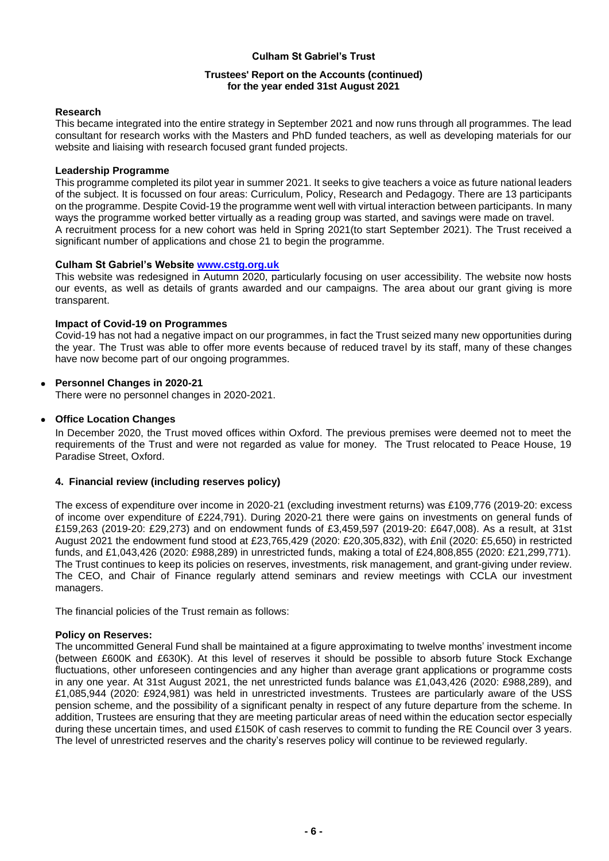## **Trustees' Report on the Accounts (continued) for the year ended 31st August 2021**

## **Research**

This became integrated into the entire strategy in September 2021 and now runs through all programmes. The lead consultant for research works with the Masters and PhD funded teachers, as well as developing materials for our website and liaising with research focused grant funded projects.

## **Leadership Programme**

This programme completed its pilot year in summer 2021. It seeks to give teachers a voice as future national leaders of the subject. It is focussed on four areas: Curriculum, Policy, Research and Pedagogy. There are 13 participants on the programme. Despite Covid-19 the programme went well with virtual interaction between participants. In many ways the programme worked better virtually as a reading group was started, and savings were made on travel. A recruitment process for a new cohort was held in Spring 2021(to start September 2021). The Trust received a significant number of applications and chose 21 to begin the programme.

# **Culham St Gabriel's Website [www.cstg.org.uk](http://www.cstg.org.uk/)**

This website was redesigned in Autumn 2020, particularly focusing on user accessibility. The website now hosts our events, as well as details of grants awarded and our campaigns. The area about our grant giving is more transparent.

## **Impact of Covid-19 on Programmes**

Covid-19 has not had a negative impact on our programmes, in fact the Trust seized many new opportunities during the year. The Trust was able to offer more events because of reduced travel by its staff, many of these changes have now become part of our ongoing programmes.

# • **Personnel Changes in 2020-21**

There were no personnel changes in 2020-2021.

# • **Office Location Changes**

In December 2020, the Trust moved offices within Oxford. The previous premises were deemed not to meet the requirements of the Trust and were not regarded as value for money. The Trust relocated to Peace House, 19 Paradise Street, Oxford.

# **4. Financial review (including reserves policy)**

The excess of expenditure over income in 2020-21 (excluding investment returns) was £109,776 (2019-20: excess of income over expenditure of £224,791). During 2020-21 there were gains on investments on general funds of £159,263 (2019-20: £29,273) and on endowment funds of £3,459,597 (2019-20: £647,008). As a result, at 31st August 2021 the endowment fund stood at £23,765,429 (2020: £20,305,832), with £nil (2020: £5,650) in restricted funds, and £1,043,426 (2020: £988,289) in unrestricted funds, making a total of £24,808,855 (2020: £21,299,771). The Trust continues to keep its policies on reserves, investments, risk management, and grant-giving under review. The CEO, and Chair of Finance regularly attend seminars and review meetings with CCLA our investment managers.

The financial policies of the Trust remain as follows:

#### **Policy on Reserves:**

The uncommitted General Fund shall be maintained at a figure approximating to twelve months' investment income (between £600K and £630K). At this level of reserves it should be possible to absorb future Stock Exchange fluctuations, other unforeseen contingencies and any higher than average grant applications or programme costs in any one year. At 31st August 2021, the net unrestricted funds balance was £1,043,426 (2020: £988,289), and £1,085,944 (2020: £924,981) was held in unrestricted investments. Trustees are particularly aware of the USS pension scheme, and the possibility of a significant penalty in respect of any future departure from the scheme. In addition, Trustees are ensuring that they are meeting particular areas of need within the education sector especially during these uncertain times, and used £150K of cash reserves to commit to funding the RE Council over 3 years. The level of unrestricted reserves and the charity's reserves policy will continue to be reviewed regularly.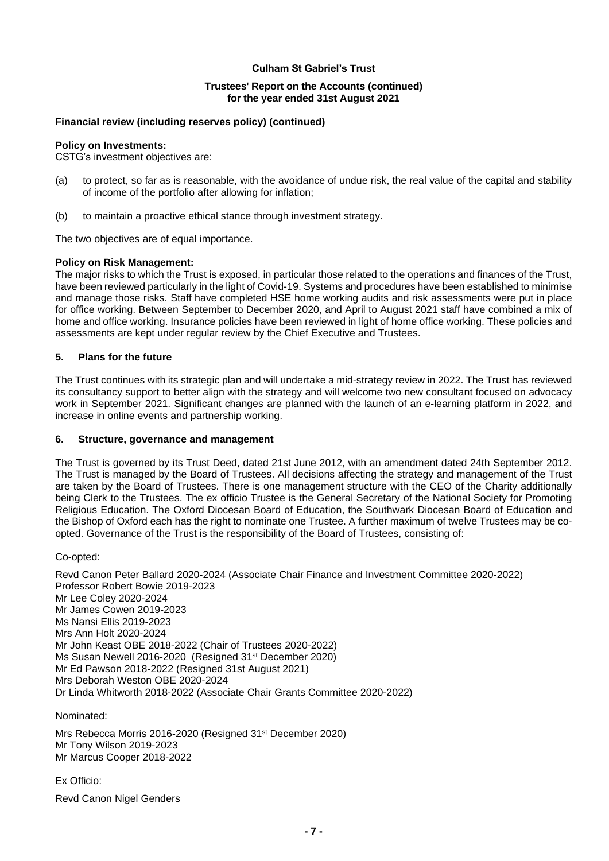## **Trustees' Report on the Accounts (continued) for the year ended 31st August 2021**

# **Financial review (including reserves policy) (continued)**

## **Policy on Investments:**

CSTG's investment objectives are:

- (a) to protect, so far as is reasonable, with the avoidance of undue risk, the real value of the capital and stability of income of the portfolio after allowing for inflation;
- (b) to maintain a proactive ethical stance through investment strategy.

The two objectives are of equal importance.

## **Policy on Risk Management:**

The major risks to which the Trust is exposed, in particular those related to the operations and finances of the Trust, have been reviewed particularly in the light of Covid-19. Systems and procedures have been established to minimise and manage those risks. Staff have completed HSE home working audits and risk assessments were put in place for office working. Between September to December 2020, and April to August 2021 staff have combined a mix of home and office working. Insurance policies have been reviewed in light of home office working. These policies and assessments are kept under regular review by the Chief Executive and Trustees.

## **5. Plans for the future**

The Trust continues with its strategic plan and will undertake a mid-strategy review in 2022. The Trust has reviewed its consultancy support to better align with the strategy and will welcome two new consultant focused on advocacy work in September 2021. Significant changes are planned with the launch of an e-learning platform in 2022, and increase in online events and partnership working.

#### **6. Structure, governance and management**

The Trust is governed by its Trust Deed, dated 21st June 2012, with an amendment dated 24th September 2012. The Trust is managed by the Board of Trustees. All decisions affecting the strategy and management of the Trust are taken by the Board of Trustees. There is one management structure with the CEO of the Charity additionally being Clerk to the Trustees. The ex officio Trustee is the General Secretary of the National Society for Promoting Religious Education. The Oxford Diocesan Board of Education, the Southwark Diocesan Board of Education and the Bishop of Oxford each has the right to nominate one Trustee. A further maximum of twelve Trustees may be coopted. Governance of the Trust is the responsibility of the Board of Trustees, consisting of:

Co-opted:

Revd Canon Peter Ballard 2020-2024 (Associate Chair Finance and Investment Committee 2020-2022) Professor Robert Bowie 2019-2023 Mr Lee Coley 2020-2024 Mr James Cowen 2019-2023 Ms Nansi Ellis 2019-2023 Mrs Ann Holt 2020-2024 Mr John Keast OBE 2018-2022 (Chair of Trustees 2020-2022) Ms Susan Newell 2016-2020 (Resigned 31<sup>st</sup> December 2020) Mr Ed Pawson 2018-2022 (Resigned 31st August 2021) Mrs Deborah Weston OBE 2020-2024 Dr Linda Whitworth 2018-2022 (Associate Chair Grants Committee 2020-2022)

Nominated:

Mrs Rebecca Morris 2016-2020 (Resigned 31st December 2020) Mr Tony Wilson 2019-2023 Mr Marcus Cooper 2018-2022

Ex Officio: Revd Canon Nigel Genders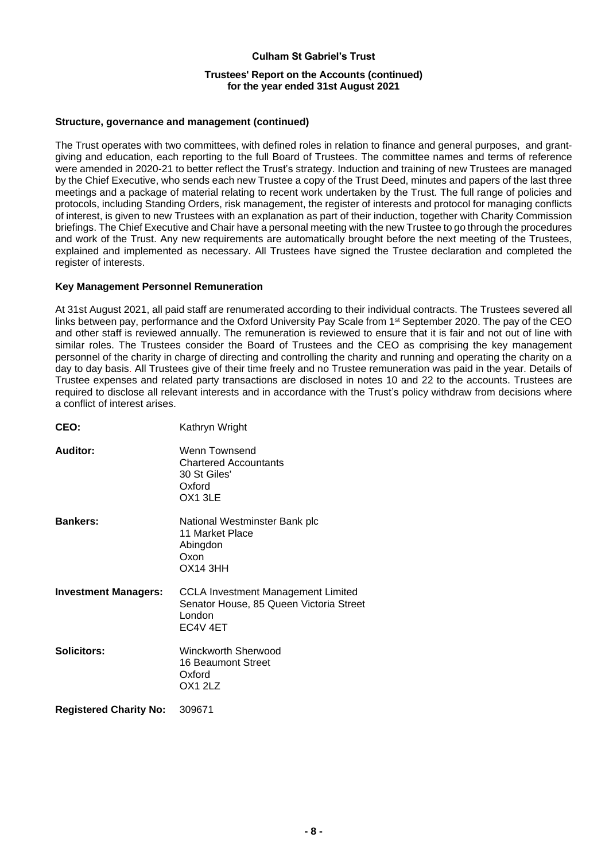# **Culham St Gabriel's Trust Trustees' Report on the Accounts (continued) for the year ended 31st August 2021**

## **Structure, governance and management (continued)**

The Trust operates with two committees, with defined roles in relation to finance and general purposes, and grantgiving and education, each reporting to the full Board of Trustees. The committee names and terms of reference were amended in 2020-21 to better reflect the Trust's strategy. Induction and training of new Trustees are managed by the Chief Executive, who sends each new Trustee a copy of the Trust Deed, minutes and papers of the last three meetings and a package of material relating to recent work undertaken by the Trust. The full range of policies and protocols, including Standing Orders, risk management, the register of interests and protocol for managing conflicts of interest, is given to new Trustees with an explanation as part of their induction, together with Charity Commission briefings. The Chief Executive and Chair have a personal meeting with the new Trustee to go through the procedures and work of the Trust. Any new requirements are automatically brought before the next meeting of the Trustees, explained and implemented as necessary. All Trustees have signed the Trustee declaration and completed the register of interests.

## **Key Management Personnel Remuneration**

At 31st August 2021, all paid staff are renumerated according to their individual contracts. The Trustees severed all links between pay, performance and the Oxford University Pay Scale from 1<sup>st</sup> September 2020. The pay of the CEO and other staff is reviewed annually. The remuneration is reviewed to ensure that it is fair and not out of line with similar roles. The Trustees consider the Board of Trustees and the CEO as comprising the key management personnel of the charity in charge of directing and controlling the charity and running and operating the charity on a day to day basis. All Trustees give of their time freely and no Trustee remuneration was paid in the year. Details of Trustee expenses and related party transactions are disclosed in notes 10 and 22 to the accounts. Trustees are required to disclose all relevant interests and in accordance with the Trust's policy withdraw from decisions where a conflict of interest arises.

| CEO:                          | Kathryn Wright                                                                                             |
|-------------------------------|------------------------------------------------------------------------------------------------------------|
| Auditor:                      | Wenn Townsend<br><b>Chartered Accountants</b><br>30 St Giles'<br>Oxford<br>OX13LE                          |
| <b>Bankers:</b>               | National Westminster Bank plc<br>11 Market Place<br>Abingdon<br>Oxon<br><b>OX14 3HH</b>                    |
| <b>Investment Managers:</b>   | <b>CCLA Investment Management Limited</b><br>Senator House, 85 Queen Victoria Street<br>London<br>EC4V 4ET |
| <b>Solicitors:</b>            | Winckworth Sherwood<br>16 Beaumont Street<br>Oxford<br>OX1 2LZ                                             |
| <b>Registered Charity No:</b> | 309671                                                                                                     |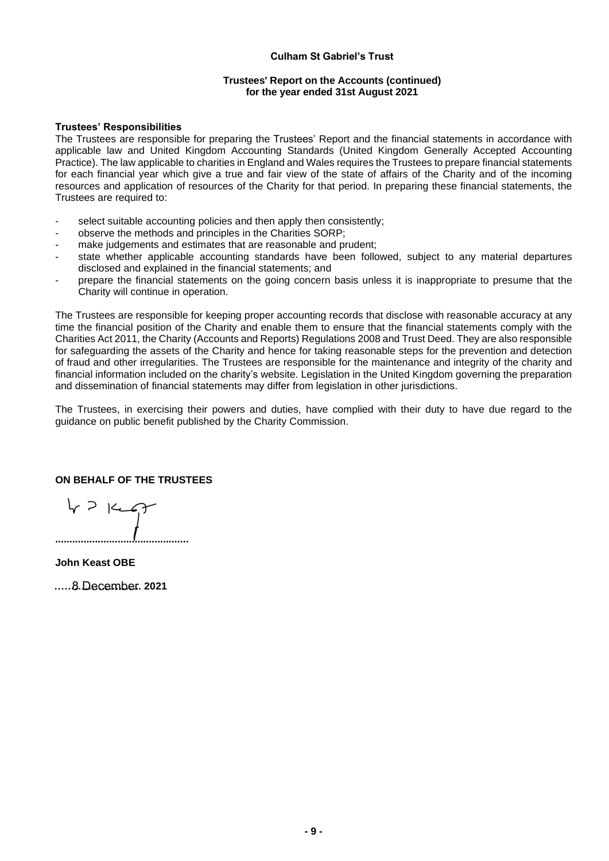#### **Trustees' Report on the Accounts (continued) for the year ended 31st August 2021**

#### **Trustees' Responsibilities**

The Trustees are responsible for preparing the Trustees' Report and the financial statements in accordance with applicable law and United Kingdom Accounting Standards (United Kingdom Generally Accepted Accounting Practice). The law applicable to charities in England and Wales requires the Trustees to prepare financial statements for each financial year which give a true and fair view of the state of affairs of the Charity and of the incoming resources and application of resources of the Charity for that period. In preparing these financial statements, the Trustees are required to:

- select suitable accounting policies and then apply then consistently:
- observe the methods and principles in the Charities SORP;
- make judgements and estimates that are reasonable and prudent;
- state whether applicable accounting standards have been followed, subject to any material departures disclosed and explained in the financial statements; and
- prepare the financial statements on the going concern basis unless it is inappropriate to presume that the Charity will continue in operation.

The Trustees are responsible for keeping proper accounting records that disclose with reasonable accuracy at any time the financial position of the Charity and enable them to ensure that the financial statements comply with the Charities Act 2011, the Charity (Accounts and Reports) Regulations 2008 and Trust Deed. They are also responsible for safeguarding the assets of the Charity and hence for taking reasonable steps for the prevention and detection of fraud and other irregularities. The Trustees are responsible for the maintenance and integrity of the charity and financial information included on the charity's website. Legislation in the United Kingdom governing the preparation and dissemination of financial statements may differ from legislation in other jurisdictions.

The Trustees, in exercising their powers and duties, have complied with their duty to have due regard to the guidance on public benefit published by the Charity Commission.

# **ON BEHALF OF THE TRUSTEES**

 $47147$ **...............................................**

**John Keast OBE** 

**……………………..** 8 December **2021**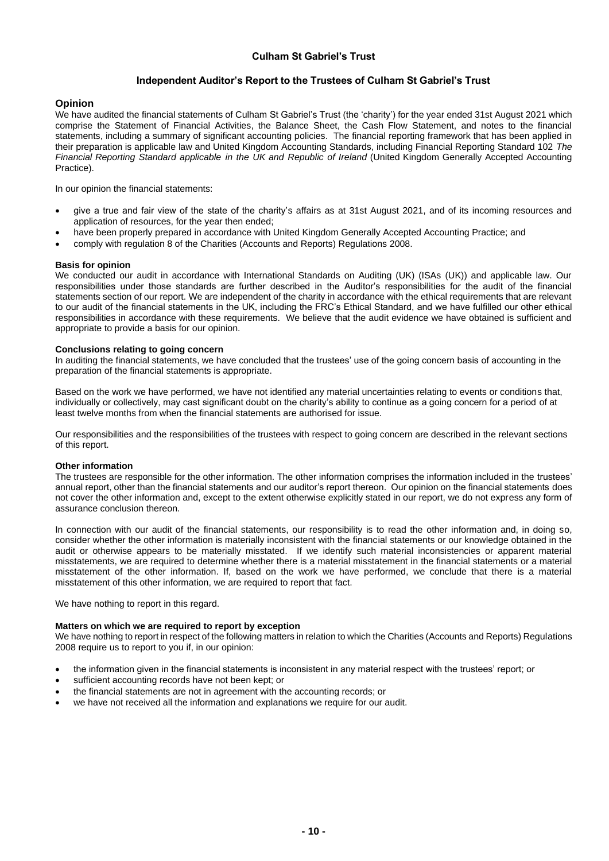## **Independent Auditor's Report to the Trustees of Culham St Gabriel's Trust**

#### **Opinion**

We have audited the financial statements of Culham St Gabriel's Trust (the 'charity') for the year ended 31st August 2021 which comprise the Statement of Financial Activities, the Balance Sheet, the Cash Flow Statement, and notes to the financial statements, including a summary of significant accounting policies. The financial reporting framework that has been applied in their preparation is applicable law and United Kingdom Accounting Standards, including Financial Reporting Standard 102 *The Financial Reporting Standard applicable in the UK and Republic of Ireland* (United Kingdom Generally Accepted Accounting Practice).

In our opinion the financial statements:

- give a true and fair view of the state of the charity's affairs as at 31st August 2021, and of its incoming resources and application of resources, for the year then ended;
- have been properly prepared in accordance with United Kingdom Generally Accepted Accounting Practice; and
- comply with regulation 8 of the Charities (Accounts and Reports) Regulations 2008.

#### **Basis for opinion**

We conducted our audit in accordance with International Standards on Auditing (UK) (ISAs (UK)) and applicable law. Our responsibilities under those standards are further described in the Auditor's responsibilities for the audit of the financial statements section of our report. We are independent of the charity in accordance with the ethical requirements that are relevant to our audit of the financial statements in the UK, including the FRC's Ethical Standard, and we have fulfilled our other ethical responsibilities in accordance with these requirements. We believe that the audit evidence we have obtained is sufficient and appropriate to provide a basis for our opinion.

#### **Conclusions relating to going concern**

In auditing the financial statements, we have concluded that the trustees' use of the going concern basis of accounting in the preparation of the financial statements is appropriate.

Based on the work we have performed, we have not identified any material uncertainties relating to events or conditions that, individually or collectively, may cast significant doubt on the charity's ability to continue as a going concern for a period of at least twelve months from when the financial statements are authorised for issue.

Our responsibilities and the responsibilities of the trustees with respect to going concern are described in the relevant sections of this report.

#### **Other information**

The trustees are responsible for the other information. The other information comprises the information included in the trustees' annual report, other than the financial statements and our auditor's report thereon. Our opinion on the financial statements does not cover the other information and, except to the extent otherwise explicitly stated in our report, we do not express any form of assurance conclusion thereon.

In connection with our audit of the financial statements, our responsibility is to read the other information and, in doing so, consider whether the other information is materially inconsistent with the financial statements or our knowledge obtained in the audit or otherwise appears to be materially misstated. If we identify such material inconsistencies or apparent material misstatements, we are required to determine whether there is a material misstatement in the financial statements or a material misstatement of the other information. If, based on the work we have performed, we conclude that there is a material misstatement of this other information, we are required to report that fact.

We have nothing to report in this regard.

#### **Matters on which we are required to report by exception**

We have nothing to report in respect of the following matters in relation to which the Charities (Accounts and Reports) Regulations 2008 require us to report to you if, in our opinion:

- the information given in the financial statements is inconsistent in any material respect with the trustees' report; or
- sufficient accounting records have not been kept; or
- the financial statements are not in agreement with the accounting records; or
- we have not received all the information and explanations we require for our audit.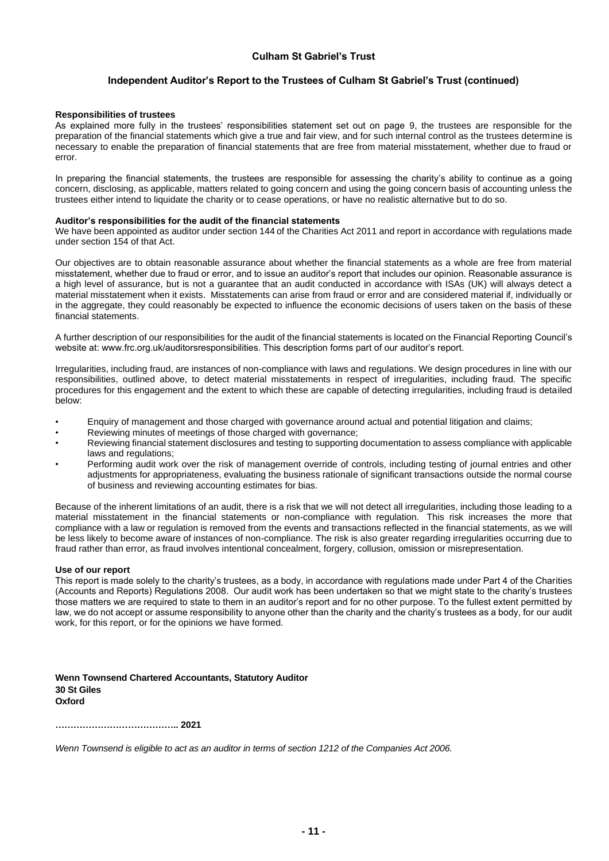## **Independent Auditor's Report to the Trustees of Culham St Gabriel's Trust (continued)**

#### **Responsibilities of trustees**

As explained more fully in the trustees' responsibilities statement set out on page 9, the trustees are responsible for the preparation of the financial statements which give a true and fair view, and for such internal control as the trustees determine is necessary to enable the preparation of financial statements that are free from material misstatement, whether due to fraud or error.

In preparing the financial statements, the trustees are responsible for assessing the charity's ability to continue as a going concern, disclosing, as applicable, matters related to going concern and using the going concern basis of accounting unless the trustees either intend to liquidate the charity or to cease operations, or have no realistic alternative but to do so.

#### **Auditor's responsibilities for the audit of the financial statements**

We have been appointed as auditor under section 144 of the Charities Act 2011 and report in accordance with regulations made under section 154 of that Act.

Our objectives are to obtain reasonable assurance about whether the financial statements as a whole are free from material misstatement, whether due to fraud or error, and to issue an auditor's report that includes our opinion. Reasonable assurance is a high level of assurance, but is not a guarantee that an audit conducted in accordance with ISAs (UK) will always detect a material misstatement when it exists. Misstatements can arise from fraud or error and are considered material if, individually or in the aggregate, they could reasonably be expected to influence the economic decisions of users taken on the basis of these financial statements.

A further description of our responsibilities for the audit of the financial statements is located on the Financial Reporting Council's website at: www.frc.org.uk/auditorsresponsibilities. This description forms part of our auditor's report.

Irregularities, including fraud, are instances of non-compliance with laws and regulations. We design procedures in line with our responsibilities, outlined above, to detect material misstatements in respect of irregularities, including fraud. The specific procedures for this engagement and the extent to which these are capable of detecting irregularities, including fraud is detailed below:

- Enquiry of management and those charged with governance around actual and potential litigation and claims;
- Reviewing minutes of meetings of those charged with governance:
- Reviewing financial statement disclosures and testing to supporting documentation to assess compliance with applicable laws and regulations;
- Performing audit work over the risk of management override of controls, including testing of journal entries and other adjustments for appropriateness, evaluating the business rationale of significant transactions outside the normal course of business and reviewing accounting estimates for bias.

Because of the inherent limitations of an audit, there is a risk that we will not detect all irregularities, including those leading to a material misstatement in the financial statements or non-compliance with regulation. This risk increases the more that compliance with a law or regulation is removed from the events and transactions reflected in the financial statements, as we will be less likely to become aware of instances of non-compliance. The risk is also greater regarding irregularities occurring due to fraud rather than error, as fraud involves intentional concealment, forgery, collusion, omission or misrepresentation.

#### **Use of our report**

This report is made solely to the charity's trustees, as a body, in accordance with regulations made under Part 4 of the Charities (Accounts and Reports) Regulations 2008. Our audit work has been undertaken so that we might state to the charity's trustees those matters we are required to state to them in an auditor's report and for no other purpose. To the fullest extent permitted by law, we do not accept or assume responsibility to anyone other than the charity and the charity's trustees as a body, for our audit work, for this report, or for the opinions we have formed.

**Wenn Townsend Chartered Accountants, Statutory Auditor 30 St Giles Oxford**

**………………………………….. 2021**

*Wenn Townsend is eligible to act as an auditor in terms of section 1212 of the Companies Act 2006.*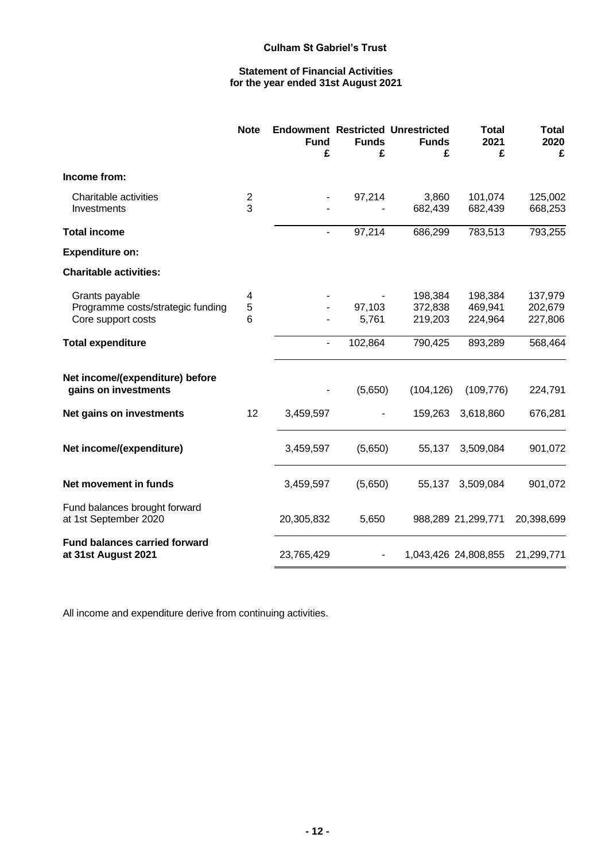# **Statement of Financial Activities for the year ended 31st August 2021**

|                                                                           | <b>Note</b>         | <b>Fund</b><br>£         | <b>Funds</b><br>£ | <b>Endowment Restricted Unrestricted</b><br><b>Funds</b><br>£ | <b>Total</b><br>2021<br>£     | <b>Total</b><br>2020<br>£     |
|---------------------------------------------------------------------------|---------------------|--------------------------|-------------------|---------------------------------------------------------------|-------------------------------|-------------------------------|
| Income from:                                                              |                     |                          |                   |                                                               |                               |                               |
| Charitable activities<br>Investments                                      | $\overline{c}$<br>3 | $\overline{\phantom{a}}$ | 97,214            | 3,860<br>682,439                                              | 101,074<br>682,439            | 125,002<br>668,253            |
| <b>Total income</b>                                                       |                     | $\blacksquare$           | 97,214            | 686,299                                                       | 783,513                       | 793,255                       |
| <b>Expenditure on:</b>                                                    |                     |                          |                   |                                                               |                               |                               |
| <b>Charitable activities:</b>                                             |                     |                          |                   |                                                               |                               |                               |
| Grants payable<br>Programme costs/strategic funding<br>Core support costs | 4<br>5<br>6         |                          | 97,103<br>5,761   | 198,384<br>372,838<br>219,203                                 | 198,384<br>469,941<br>224,964 | 137,979<br>202,679<br>227,806 |
| <b>Total expenditure</b>                                                  |                     |                          | 102,864           | 790,425                                                       | 893,289                       | 568,464                       |
| Net income/(expenditure) before<br>gains on investments                   |                     |                          | (5,650)           | (104, 126)                                                    | (109, 776)                    | 224,791                       |
| Net gains on investments                                                  | 12                  | 3,459,597                |                   | 159,263                                                       | 3,618,860                     | 676,281                       |
| Net income/(expenditure)                                                  |                     | 3,459,597                | (5,650)           | 55,137                                                        | 3,509,084                     | 901,072                       |
| Net movement in funds                                                     |                     | 3,459,597                | (5,650)           | 55,137                                                        | 3,509,084                     | 901,072                       |
| Fund balances brought forward<br>at 1st September 2020                    |                     | 20,305,832               | 5,650             |                                                               | 988,289 21,299,771            | 20,398,699                    |
| <b>Fund balances carried forward</b><br>at 31st August 2021               |                     | 23,765,429               |                   |                                                               | 1,043,426 24,808,855          | 21,299,771                    |

All income and expenditure derive from continuing activities.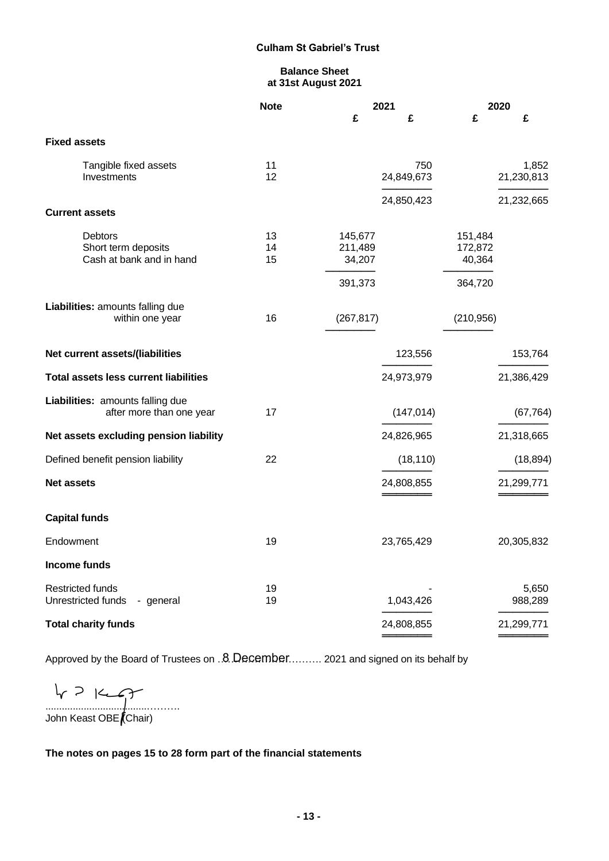# **Balance Sheet at 31st August 2021**

|                                                              | 2021<br><b>Note</b> |                              |                   | 2020                         |                     |
|--------------------------------------------------------------|---------------------|------------------------------|-------------------|------------------------------|---------------------|
|                                                              |                     | £                            | £                 | £                            | £                   |
| <b>Fixed assets</b>                                          |                     |                              |                   |                              |                     |
| Tangible fixed assets<br>Investments                         | 11<br>12            |                              | 750<br>24,849,673 |                              | 1,852<br>21,230,813 |
|                                                              |                     |                              | 24,850,423        |                              | 21,232,665          |
| <b>Current assets</b>                                        |                     |                              |                   |                              |                     |
| Debtors<br>Short term deposits<br>Cash at bank and in hand   | 13<br>14<br>15      | 145,677<br>211,489<br>34,207 |                   | 151,484<br>172,872<br>40,364 |                     |
|                                                              |                     | 391,373                      |                   | 364,720                      |                     |
| Liabilities: amounts falling due<br>within one year          | 16                  | (267, 817)                   |                   | (210, 956)                   |                     |
| Net current assets/(liabilities                              |                     |                              | 123,556           |                              | 153,764             |
| <b>Total assets less current liabilities</b>                 |                     |                              | 24,973,979        |                              | 21,386,429          |
| Liabilities: amounts falling due<br>after more than one year | 17                  |                              | (147, 014)        |                              | (67, 764)           |
| Net assets excluding pension liability                       |                     |                              | 24,826,965        |                              | 21,318,665          |
| Defined benefit pension liability                            | 22                  |                              | (18, 110)         |                              | (18, 894)           |
| <b>Net assets</b>                                            |                     |                              | 24,808,855        |                              | 21,299,771          |
| <b>Capital funds</b>                                         |                     |                              |                   |                              |                     |
| Endowment                                                    | 19                  |                              | 23,765,429        |                              | 20,305,832          |
| Income funds                                                 |                     |                              |                   |                              |                     |
| <b>Restricted funds</b><br>Unrestricted funds<br>- general   | 19<br>19            |                              | 1,043,426         |                              | 5,650<br>988,289    |
| <b>Total charity funds</b>                                   |                     |                              | 24,808,855        |                              | 21,299,771          |
|                                                              |                     |                              |                   |                              |                     |

Approved by the Board of Trustees on  $.8$  December......... 2021 and signed on its behalf by

.....................................………. John Keast OBE (Chair)

**The notes on pages 15 to 28 form part of the financial statements**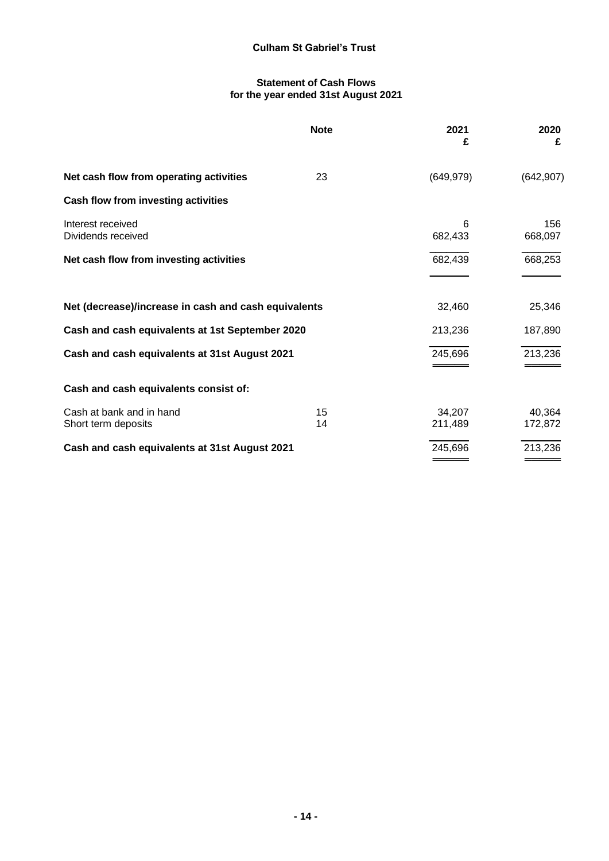## **Statement of Cash Flows for the year ended 31st August 2021**

|                                                      | <b>Note</b> | 2021<br>£         | 2020<br>£         |
|------------------------------------------------------|-------------|-------------------|-------------------|
| Net cash flow from operating activities              | 23          | (649, 979)        | (642, 907)        |
| Cash flow from investing activities                  |             |                   |                   |
| Interest received<br>Dividends received              |             | 6<br>682,433      | 156<br>668,097    |
| Net cash flow from investing activities              |             | 682,439           | 668,253           |
| Net (decrease)/increase in cash and cash equivalents |             | 32,460            | 25,346            |
| Cash and cash equivalents at 1st September 2020      |             | 213,236           | 187,890           |
| Cash and cash equivalents at 31st August 2021        |             | 245,696           | 213,236           |
| Cash and cash equivalents consist of:                |             |                   |                   |
| Cash at bank and in hand<br>Short term deposits      | 15<br>14    | 34,207<br>211,489 | 40,364<br>172,872 |
| Cash and cash equivalents at 31st August 2021        |             | 245,696           | 213,236           |
|                                                      |             |                   |                   |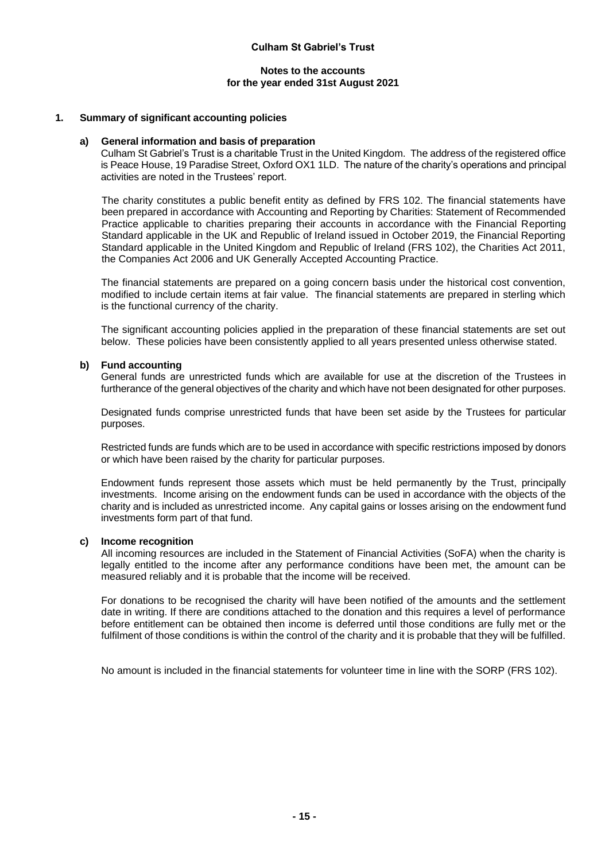## **Notes to the accounts for the year ended 31st August 2021**

## **1. Summary of significant accounting policies**

#### **a) General information and basis of preparation**

Culham St Gabriel's Trust is a charitable Trust in the United Kingdom. The address of the registered office is Peace House, 19 Paradise Street, Oxford OX1 1LD. The nature of the charity's operations and principal activities are noted in the Trustees' report.

The charity constitutes a public benefit entity as defined by FRS 102. The financial statements have been prepared in accordance with Accounting and Reporting by Charities: Statement of Recommended Practice applicable to charities preparing their accounts in accordance with the Financial Reporting Standard applicable in the UK and Republic of Ireland issued in October 2019, the Financial Reporting Standard applicable in the United Kingdom and Republic of Ireland (FRS 102), the Charities Act 2011, the Companies Act 2006 and UK Generally Accepted Accounting Practice.

The financial statements are prepared on a going concern basis under the historical cost convention, modified to include certain items at fair value. The financial statements are prepared in sterling which is the functional currency of the charity.

The significant accounting policies applied in the preparation of these financial statements are set out below. These policies have been consistently applied to all years presented unless otherwise stated.

#### **b) Fund accounting**

General funds are unrestricted funds which are available for use at the discretion of the Trustees in furtherance of the general objectives of the charity and which have not been designated for other purposes.

Designated funds comprise unrestricted funds that have been set aside by the Trustees for particular purposes.

Restricted funds are funds which are to be used in accordance with specific restrictions imposed by donors or which have been raised by the charity for particular purposes.

Endowment funds represent those assets which must be held permanently by the Trust, principally investments. Income arising on the endowment funds can be used in accordance with the objects of the charity and is included as unrestricted income. Any capital gains or losses arising on the endowment fund investments form part of that fund.

#### **c) Income recognition**

All incoming resources are included in the Statement of Financial Activities (SoFA) when the charity is legally entitled to the income after any performance conditions have been met, the amount can be measured reliably and it is probable that the income will be received.

For donations to be recognised the charity will have been notified of the amounts and the settlement date in writing. If there are conditions attached to the donation and this requires a level of performance before entitlement can be obtained then income is deferred until those conditions are fully met or the fulfilment of those conditions is within the control of the charity and it is probable that they will be fulfilled.

No amount is included in the financial statements for volunteer time in line with the SORP (FRS 102).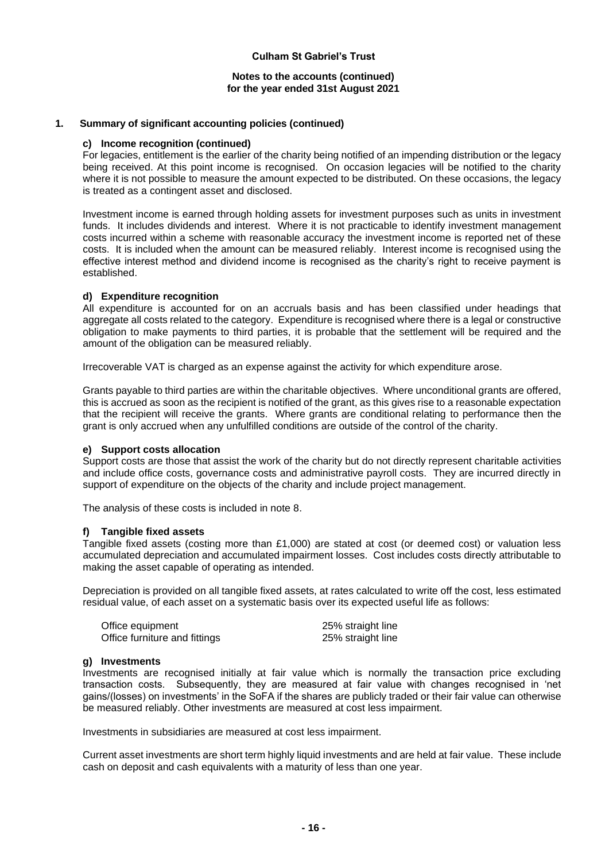#### **Notes to the accounts (continued) for the year ended 31st August 2021**

#### **1. Summary of significant accounting policies (continued)**

#### **c) Income recognition (continued)**

For legacies, entitlement is the earlier of the charity being notified of an impending distribution or the legacy being received. At this point income is recognised. On occasion legacies will be notified to the charity where it is not possible to measure the amount expected to be distributed. On these occasions, the legacy is treated as a contingent asset and disclosed.

Investment income is earned through holding assets for investment purposes such as units in investment funds. It includes dividends and interest. Where it is not practicable to identify investment management costs incurred within a scheme with reasonable accuracy the investment income is reported net of these costs. It is included when the amount can be measured reliably. Interest income is recognised using the effective interest method and dividend income is recognised as the charity's right to receive payment is established.

## **d) Expenditure recognition**

All expenditure is accounted for on an accruals basis and has been classified under headings that aggregate all costs related to the category. Expenditure is recognised where there is a legal or constructive obligation to make payments to third parties, it is probable that the settlement will be required and the amount of the obligation can be measured reliably.

Irrecoverable VAT is charged as an expense against the activity for which expenditure arose.

Grants payable to third parties are within the charitable objectives. Where unconditional grants are offered, this is accrued as soon as the recipient is notified of the grant, as this gives rise to a reasonable expectation that the recipient will receive the grants. Where grants are conditional relating to performance then the grant is only accrued when any unfulfilled conditions are outside of the control of the charity.

#### **e) Support costs allocation**

Support costs are those that assist the work of the charity but do not directly represent charitable activities and include office costs, governance costs and administrative payroll costs. They are incurred directly in support of expenditure on the objects of the charity and include project management.

The analysis of these costs is included in note 8.

#### **f) Tangible fixed assets**

Tangible fixed assets (costing more than £1,000) are stated at cost (or deemed cost) or valuation less accumulated depreciation and accumulated impairment losses. Cost includes costs directly attributable to making the asset capable of operating as intended.

Depreciation is provided on all tangible fixed assets, at rates calculated to write off the cost, less estimated residual value, of each asset on a systematic basis over its expected useful life as follows:

| Office equipment              | 25% straight line |
|-------------------------------|-------------------|
| Office furniture and fittings | 25% straight line |

#### **g) Investments**

Investments are recognised initially at fair value which is normally the transaction price excluding transaction costs. Subsequently, they are measured at fair value with changes recognised in 'net gains/(losses) on investments' in the SoFA if the shares are publicly traded or their fair value can otherwise be measured reliably. Other investments are measured at cost less impairment.

Investments in subsidiaries are measured at cost less impairment.

Current asset investments are short term highly liquid investments and are held at fair value. These include cash on deposit and cash equivalents with a maturity of less than one year.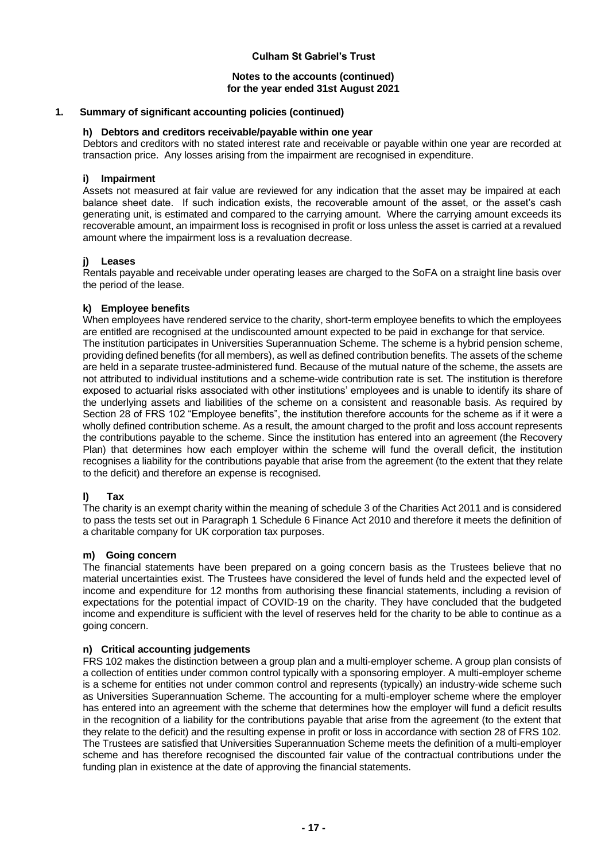#### **Notes to the accounts (continued) for the year ended 31st August 2021**

## **1. Summary of significant accounting policies (continued)**

## **h) Debtors and creditors receivable/payable within one year**

Debtors and creditors with no stated interest rate and receivable or payable within one year are recorded at transaction price. Any losses arising from the impairment are recognised in expenditure.

## **i) Impairment**

Assets not measured at fair value are reviewed for any indication that the asset may be impaired at each balance sheet date. If such indication exists, the recoverable amount of the asset, or the asset's cash generating unit, is estimated and compared to the carrying amount. Where the carrying amount exceeds its recoverable amount, an impairment loss is recognised in profit or loss unless the asset is carried at a revalued amount where the impairment loss is a revaluation decrease.

# **j) Leases**

Rentals payable and receivable under operating leases are charged to the SoFA on a straight line basis over the period of the lease.

## **k) Employee benefits**

When employees have rendered service to the charity, short-term employee benefits to which the employees are entitled are recognised at the undiscounted amount expected to be paid in exchange for that service. The institution participates in Universities Superannuation Scheme. The scheme is a hybrid pension scheme, providing defined benefits (for all members), as well as defined contribution benefits. The assets of the scheme are held in a separate trustee-administered fund. Because of the mutual nature of the scheme, the assets are not attributed to individual institutions and a scheme-wide contribution rate is set. The institution is therefore exposed to actuarial risks associated with other institutions' employees and is unable to identify its share of the underlying assets and liabilities of the scheme on a consistent and reasonable basis. As required by Section 28 of FRS 102 "Employee benefits", the institution therefore accounts for the scheme as if it were a wholly defined contribution scheme. As a result, the amount charged to the profit and loss account represents the contributions payable to the scheme. Since the institution has entered into an agreement (the Recovery Plan) that determines how each employer within the scheme will fund the overall deficit, the institution recognises a liability for the contributions payable that arise from the agreement (to the extent that they relate to the deficit) and therefore an expense is recognised.

# **l) Tax**

The charity is an exempt charity within the meaning of schedule 3 of the Charities Act 2011 and is considered to pass the tests set out in Paragraph 1 Schedule 6 Finance Act 2010 and therefore it meets the definition of a charitable company for UK corporation tax purposes.

#### **m) Going concern**

The financial statements have been prepared on a going concern basis as the Trustees believe that no material uncertainties exist. The Trustees have considered the level of funds held and the expected level of income and expenditure for 12 months from authorising these financial statements, including a revision of expectations for the potential impact of COVID-19 on the charity. They have concluded that the budgeted income and expenditure is sufficient with the level of reserves held for the charity to be able to continue as a going concern.

#### **n) Critical accounting judgements**

FRS 102 makes the distinction between a group plan and a multi-employer scheme. A group plan consists of a collection of entities under common control typically with a sponsoring employer. A multi-employer scheme is a scheme for entities not under common control and represents (typically) an industry-wide scheme such as Universities Superannuation Scheme. The accounting for a multi-employer scheme where the employer has entered into an agreement with the scheme that determines how the employer will fund a deficit results in the recognition of a liability for the contributions payable that arise from the agreement (to the extent that they relate to the deficit) and the resulting expense in profit or loss in accordance with section 28 of FRS 102. The Trustees are satisfied that Universities Superannuation Scheme meets the definition of a multi-employer scheme and has therefore recognised the discounted fair value of the contractual contributions under the funding plan in existence at the date of approving the financial statements.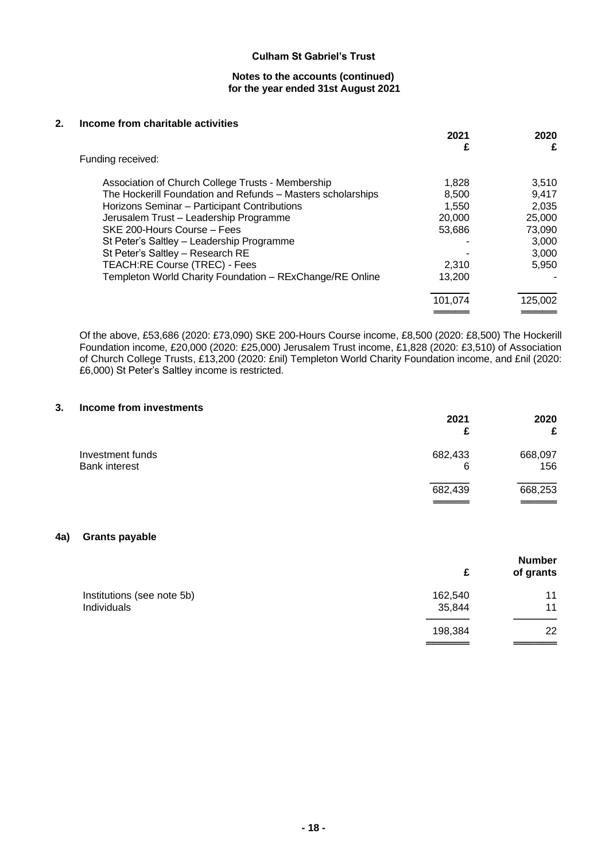#### **Notes to the accounts (continued) for the year ended 31st August 2021**

#### **2. Income from charitable activities**

|                                                             | 2021<br>£ | 2020<br>£ |
|-------------------------------------------------------------|-----------|-----------|
| Funding received:                                           |           |           |
| Association of Church College Trusts - Membership           | 1,828     | 3,510     |
| The Hockerill Foundation and Refunds - Masters scholarships | 8,500     | 9.417     |
| Horizons Seminar - Participant Contributions                | 1.550     | 2,035     |
| Jerusalem Trust - Leadership Programme                      | 20,000    | 25,000    |
| SKE 200-Hours Course - Fees                                 | 53,686    | 73,090    |
| St Peter's Saltley - Leadership Programme                   |           | 3.000     |
| St Peter's Saltley - Research RE                            |           | 3.000     |
| TEACH:RE Course (TREC) - Fees                               | 2,310     | 5.950     |
| Templeton World Charity Foundation - RExChange/RE Online    | 13,200    |           |
|                                                             | 101,074   | 125,002   |
|                                                             |           |           |

Of the above, £53,686 (2020: £73,090) SKE 200-Hours Course income, £8,500 (2020: £8,500) The Hockerill Foundation income, £20,000 (2020: £25,000) Jerusalem Trust income, £1,828 (2020: £3,510) of Association of Church College Trusts, £13,200 (2020: £nil) Templeton World Charity Foundation income, and £nil (2020: £6,000) St Peter's Saltley income is restricted.

#### **3. Income from investments**

|                                          | 2021<br>£    | 2020<br>£      |
|------------------------------------------|--------------|----------------|
| Investment funds<br><b>Bank interest</b> | 682,433<br>6 | 668,097<br>156 |
|                                          | 682,439      | 668,253        |

# **4a) Grants payable**

|                            | £       | <b>Number</b><br>of grants |
|----------------------------|---------|----------------------------|
| Institutions (see note 5b) | 162,540 | 11                         |
| Individuals                | 35,844  | 11                         |
|                            | 198,384 | 22                         |
|                            |         |                            |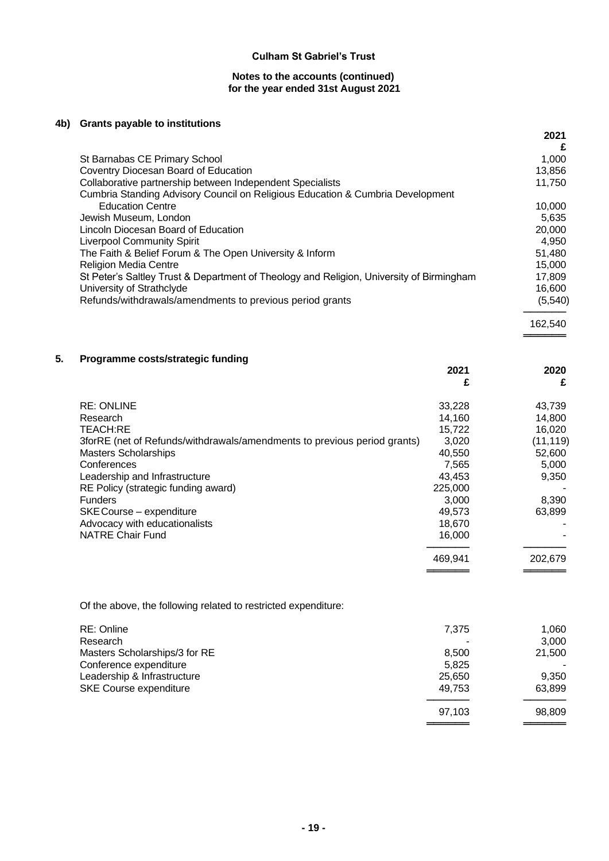## **Notes to the accounts (continued) for the year ended 31st August 2021**

## **4b) Grants payable to institutions**

|                                                                                          | 2021<br>£ |
|------------------------------------------------------------------------------------------|-----------|
| St Barnabas CE Primary School                                                            | 1,000     |
| Coventry Diocesan Board of Education                                                     | 13,856    |
| Collaborative partnership between Independent Specialists                                | 11,750    |
| Cumbria Standing Advisory Council on Religious Education & Cumbria Development           |           |
| <b>Education Centre</b>                                                                  | 10.000    |
| Jewish Museum, London                                                                    | 5.635     |
| Lincoln Diocesan Board of Education                                                      | 20,000    |
| <b>Liverpool Community Spirit</b>                                                        | 4.950     |
| The Faith & Belief Forum & The Open University & Inform                                  | 51,480    |
| <b>Religion Media Centre</b>                                                             | 15.000    |
| St Peter's Saltley Trust & Department of Theology and Religion, University of Birmingham | 17,809    |
| University of Strathclyde                                                                | 16,600    |
| Refunds/withdrawals/amendments to previous period grants                                 | (5, 540)  |
|                                                                                          | 162.540   |

════════

═════════<br>═══════════

## **5. Programme costs/strategic funding**

|                                                                          | 2021<br>£ | 2020<br>£ |
|--------------------------------------------------------------------------|-----------|-----------|
| <b>RE: ONLINE</b>                                                        | 33,228    | 43,739    |
| Research                                                                 | 14,160    | 14,800    |
| <b>TEACH:RE</b>                                                          | 15,722    | 16,020    |
| 3forRE (net of Refunds/withdrawals/amendments to previous period grants) | 3,020     | (11,119)  |
| <b>Masters Scholarships</b>                                              | 40,550    | 52,600    |
| Conferences                                                              | 7,565     | 5,000     |
| Leadership and Infrastructure                                            | 43,453    | 9,350     |
| RE Policy (strategic funding award)                                      | 225,000   |           |
| <b>Funders</b>                                                           | 3,000     | 8,390     |
| SKE Course - expenditure                                                 | 49,573    | 63,899    |
| Advocacy with educationalists                                            | 18,670    |           |
| <b>NATRE Chair Fund</b>                                                  | 16,000    |           |
|                                                                          | 469,941   | 202,679   |
|                                                                          |           |           |

Of the above, the following related to restricted expenditure:

| RE: Online                    | 7.375  | 1.060  |
|-------------------------------|--------|--------|
| Research                      |        | 3.000  |
| Masters Scholarships/3 for RE | 8.500  | 21,500 |
| Conference expenditure        | 5,825  |        |
| Leadership & Infrastructure   | 25,650 | 9.350  |
| <b>SKE Course expenditure</b> | 49.753 | 63,899 |
|                               | 97.103 | 98,809 |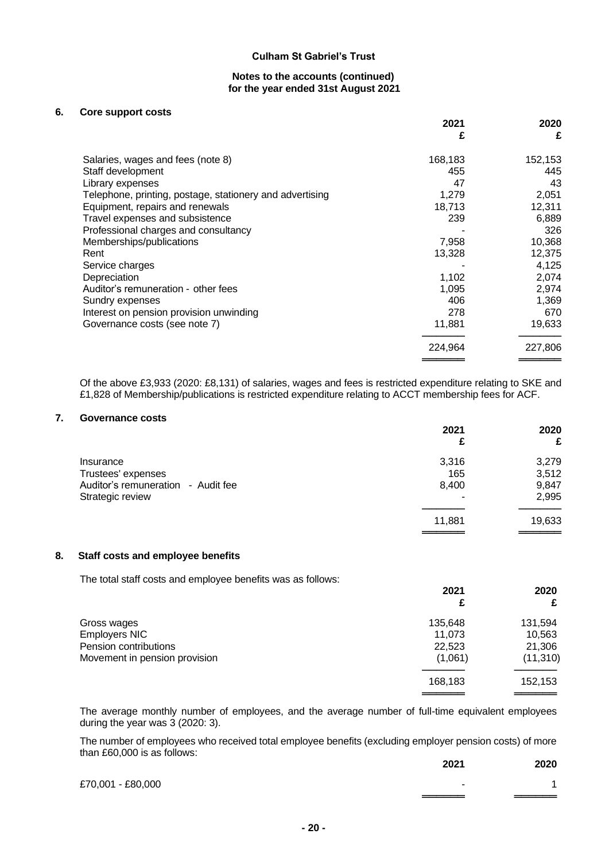#### **Notes to the accounts (continued) for the year ended 31st August 2021**

#### **6. Core support costs**

|                                                          | 2021<br>£ | 2020<br>£ |
|----------------------------------------------------------|-----------|-----------|
| Salaries, wages and fees (note 8)                        | 168,183   | 152,153   |
| Staff development                                        | 455       | 445       |
| Library expenses                                         | 47        | 43        |
| Telephone, printing, postage, stationery and advertising | 1,279     | 2,051     |
| Equipment, repairs and renewals                          | 18,713    | 12,311    |
| Travel expenses and subsistence                          | 239       | 6,889     |
| Professional charges and consultancy                     |           | 326       |
| Memberships/publications                                 | 7,958     | 10,368    |
| Rent                                                     | 13,328    | 12,375    |
| Service charges                                          |           | 4,125     |
| Depreciation                                             | 1,102     | 2,074     |
| Auditor's remuneration - other fees                      | 1,095     | 2,974     |
| Sundry expenses                                          | 406       | 1,369     |
| Interest on pension provision unwinding                  | 278       | 670       |
| Governance costs (see note 7)                            | 11,881    | 19,633    |
|                                                          | 224,964   | 227,806   |
|                                                          |           |           |

Of the above £3,933 (2020: £8,131) of salaries, wages and fees is restricted expenditure relating to SKE and £1,828 of Membership/publications is restricted expenditure relating to ACCT membership fees for ACF.

#### **7. Governance costs**

|                                    | 2021<br>£ | 2020<br>£ |
|------------------------------------|-----------|-----------|
| Insurance                          | 3,316     | 3,279     |
| Trustees' expenses                 | 165       | 3,512     |
| Auditor's remuneration - Audit fee | 8,400     | 9,847     |
| Strategic review                   | ۰         | 2,995     |
|                                    | 11,881    | 19,633    |
|                                    |           |           |

## **8. Staff costs and employee benefits**

The total staff costs and employee benefits was as follows:

|                               | 2021    | 2020      |
|-------------------------------|---------|-----------|
|                               |         |           |
| Gross wages                   | 135,648 | 131,594   |
| Employers NIC                 | 11,073  | 10,563    |
| Pension contributions         | 22,523  | 21,306    |
| Movement in pension provision | (1,061) | (11, 310) |
|                               | 168,183 | 152,153   |
|                               |         |           |

The average monthly number of employees, and the average number of full-time equivalent employees during the year was  $3$  (2020: 3).

The number of employees who received total employee benefits (excluding employer pension costs) of more than £60,000 is as follows:

|                   | 2021 | 2020 |
|-------------------|------|------|
| £70,001 - £80,000 | ۰    |      |
|                   |      |      |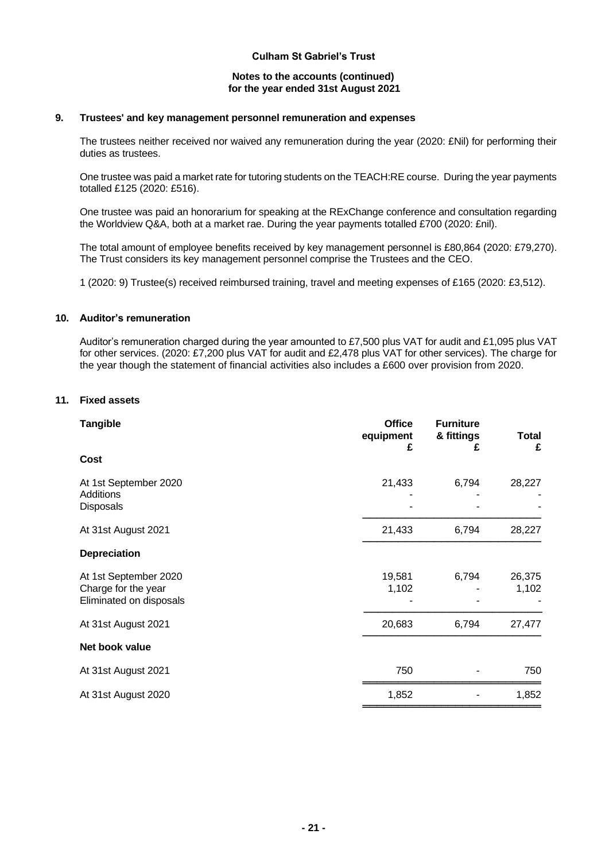#### **Notes to the accounts (continued) for the year ended 31st August 2021**

## **9. Trustees' and key management personnel remuneration and expenses**

The trustees neither received nor waived any remuneration during the year (2020: £Nil) for performing their duties as trustees.

One trustee was paid a market rate for tutoring students on the TEACH:RE course. During the year payments totalled £125 (2020: £516).

One trustee was paid an honorarium for speaking at the RExChange conference and consultation regarding the Worldview Q&A, both at a market rae. During the year payments totalled £700 (2020: £nil).

The total amount of employee benefits received by key management personnel is £80,864 (2020: £79,270). The Trust considers its key management personnel comprise the Trustees and the CEO.

1 (2020: 9) Trustee(s) received reimbursed training, travel and meeting expenses of £165 (2020: £3,512).

# **10. Auditor's remuneration**

Auditor's remuneration charged during the year amounted to £7,500 plus VAT for audit and £1,095 plus VAT for other services. (2020: £7,200 plus VAT for audit and £2,478 plus VAT for other services). The charge for the year though the statement of financial activities also includes a £600 over provision from 2020.

# **11. Fixed assets**

| <b>Tangible</b>                                                         | <b>Office</b><br>equipment<br>£ | <b>Furniture</b><br>& fittings<br>£ | Total<br>£      |
|-------------------------------------------------------------------------|---------------------------------|-------------------------------------|-----------------|
| <b>Cost</b>                                                             |                                 |                                     |                 |
| At 1st September 2020<br>Additions<br><b>Disposals</b>                  | 21,433                          | 6,794                               | 28,227          |
| At 31st August 2021                                                     | 21,433                          | 6,794                               | 28,227          |
| <b>Depreciation</b>                                                     |                                 |                                     |                 |
| At 1st September 2020<br>Charge for the year<br>Eliminated on disposals | 19,581<br>1,102                 | 6,794                               | 26,375<br>1,102 |
| At 31st August 2021                                                     | 20,683                          | 6,794                               | 27,477          |
| Net book value                                                          |                                 |                                     |                 |
| At 31st August 2021                                                     | 750                             |                                     | 750             |
| At 31st August 2020                                                     | 1,852                           |                                     | 1,852           |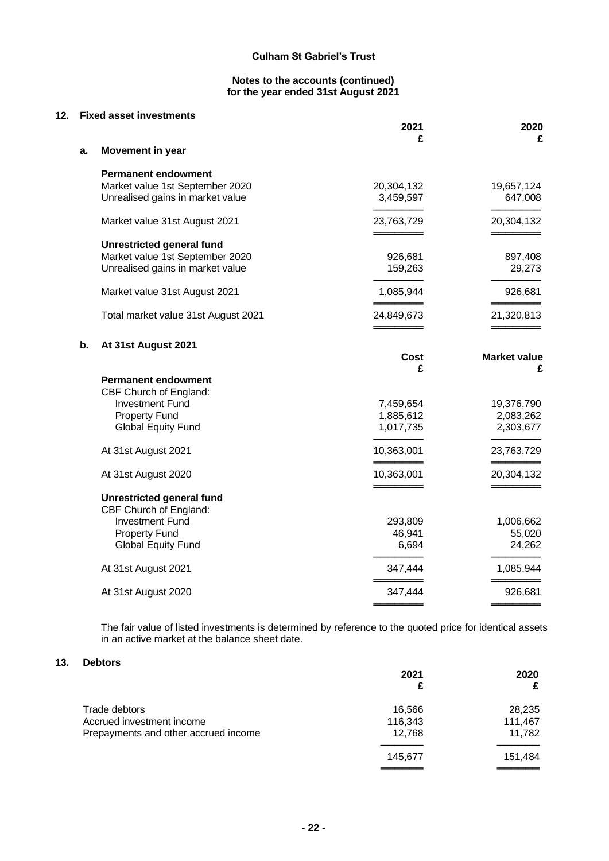#### **Notes to the accounts (continued) for the year ended 31st August 2021**

#### **12. Fixed asset investments**

|    |                                                                                                                                                                                                                                                                                                                                                       | 2021                                                                                                     | 2020                                                                                                           |
|----|-------------------------------------------------------------------------------------------------------------------------------------------------------------------------------------------------------------------------------------------------------------------------------------------------------------------------------------------------------|----------------------------------------------------------------------------------------------------------|----------------------------------------------------------------------------------------------------------------|
| a. | Movement in year                                                                                                                                                                                                                                                                                                                                      | £                                                                                                        | £                                                                                                              |
|    |                                                                                                                                                                                                                                                                                                                                                       |                                                                                                          |                                                                                                                |
|    | <b>Permanent endowment</b><br>Market value 1st September 2020<br>Unrealised gains in market value                                                                                                                                                                                                                                                     | 20,304,132<br>3,459,597                                                                                  | 19,657,124<br>647,008                                                                                          |
|    | Market value 31st August 2021                                                                                                                                                                                                                                                                                                                         | 23,763,729                                                                                               | 20,304,132                                                                                                     |
|    | <b>Unrestricted general fund</b><br>Market value 1st September 2020<br>Unrealised gains in market value                                                                                                                                                                                                                                               | 926,681<br>159,263                                                                                       | 897,408<br>29,273                                                                                              |
|    | Market value 31st August 2021                                                                                                                                                                                                                                                                                                                         | 1,085,944                                                                                                | 926,681                                                                                                        |
|    | Total market value 31st August 2021                                                                                                                                                                                                                                                                                                                   | 24,849,673                                                                                               | 21,320,813                                                                                                     |
| b. | At 31st August 2021                                                                                                                                                                                                                                                                                                                                   | Cost<br>£                                                                                                | <b>Market value</b><br>£                                                                                       |
|    | <b>Permanent endowment</b><br>CBF Church of England:<br><b>Investment Fund</b><br><b>Property Fund</b><br><b>Global Equity Fund</b><br>At 31st August 2021<br>At 31st August 2020<br><b>Unrestricted general fund</b><br>CBF Church of England:<br><b>Investment Fund</b><br><b>Property Fund</b><br><b>Global Equity Fund</b><br>At 31st August 2021 | 7,459,654<br>1,885,612<br>1,017,735<br>10,363,001<br>10,363,001<br>293,809<br>46,941<br>6,694<br>347,444 | 19,376,790<br>2,083,262<br>2,303,677<br>23,763,729<br>20,304,132<br>1,006,662<br>55,020<br>24,262<br>1,085,944 |
|    | At 31st August 2020                                                                                                                                                                                                                                                                                                                                   | 347,444                                                                                                  | 926,681                                                                                                        |
|    |                                                                                                                                                                                                                                                                                                                                                       |                                                                                                          |                                                                                                                |

The fair value of listed investments is determined by reference to the quoted price for identical assets in an active market at the balance sheet date.

## **13. Debtors**

|                                                                                    | 2021<br>£                   | 2020<br>£                   |
|------------------------------------------------------------------------------------|-----------------------------|-----------------------------|
| Trade debtors<br>Accrued investment income<br>Prepayments and other accrued income | 16,566<br>116,343<br>12,768 | 28,235<br>111,467<br>11,782 |
|                                                                                    | 145.677                     | 151,484                     |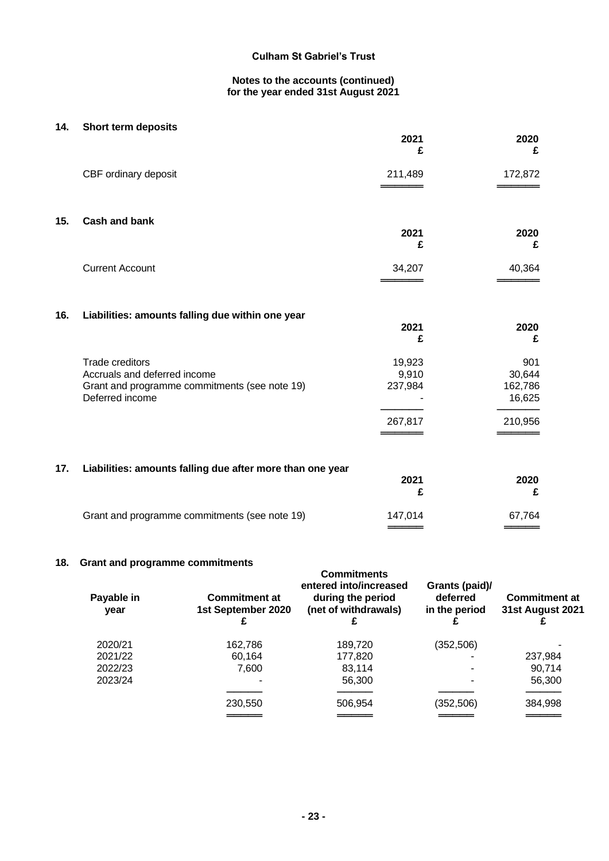## **Notes to the accounts (continued) for the year ended 31st August 2021**

| 14. | Short term deposits                                                                                                        | 2021<br>£                             | 2020<br>£                                     |
|-----|----------------------------------------------------------------------------------------------------------------------------|---------------------------------------|-----------------------------------------------|
|     | CBF ordinary deposit                                                                                                       | 211,489                               | 172,872                                       |
| 15. | <b>Cash and bank</b>                                                                                                       | 2021<br>£                             | 2020<br>£                                     |
|     | <b>Current Account</b>                                                                                                     | 34,207                                | 40,364                                        |
| 16. | Liabilities: amounts falling due within one year                                                                           | 2021<br>£                             | 2020<br>£                                     |
|     | <b>Trade creditors</b><br>Accruals and deferred income<br>Grant and programme commitments (see note 19)<br>Deferred income | 19,923<br>9,910<br>237,984<br>267,817 | 901<br>30,644<br>162,786<br>16,625<br>210,956 |
| 17. | Liabilities: amounts falling due after more than one year                                                                  | 2021<br>£                             | 2020<br>£                                     |
|     | Grant and programme commitments (see note 19)                                                                              | 147,014                               | 67,764                                        |

# **18. Grant and programme commitments**

| Payable in<br>year | orant and programme communents<br><b>Commitment at</b><br>1st September 2020 | <b>Commitments</b><br>entered into/increased<br>during the period<br>(net of withdrawals) | Grants (paid)/<br>deferred<br>in the period | <b>Commitment at</b><br>31st August 2021 |
|--------------------|------------------------------------------------------------------------------|-------------------------------------------------------------------------------------------|---------------------------------------------|------------------------------------------|
| 2020/21            | 162,786                                                                      | 189,720                                                                                   | (352, 506)                                  |                                          |
| 2021/22            | 60,164                                                                       | 177,820                                                                                   |                                             | 237,984                                  |
| 2022/23            | 7,600                                                                        | 83.114                                                                                    |                                             | 90.714                                   |
| 2023/24            | -                                                                            | 56,300                                                                                    |                                             | 56,300                                   |
|                    |                                                                              |                                                                                           |                                             |                                          |
|                    | 230,550                                                                      | 506,954                                                                                   | (352, 506)                                  | 384,998                                  |
|                    |                                                                              |                                                                                           |                                             |                                          |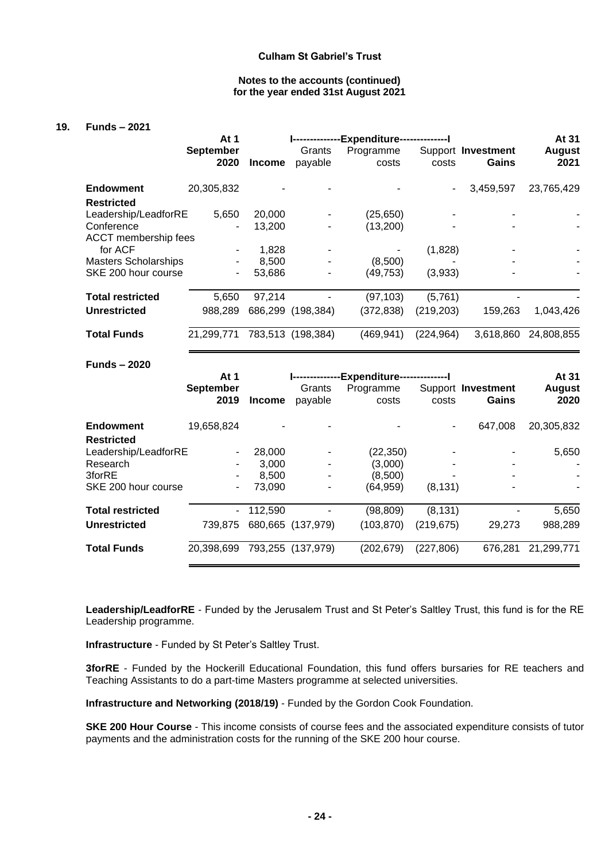#### **Notes to the accounts (continued) for the year ended 31st August 2021**

#### **19. Funds – 2021**

|                             | At 1                     | <b>Expenditure-------------- </b> |                   |                    |                          | At 31                       |                       |
|-----------------------------|--------------------------|-----------------------------------|-------------------|--------------------|--------------------------|-----------------------------|-----------------------|
|                             | <b>September</b><br>2020 | <b>Income</b>                     | Grants<br>payable | Programme<br>costs | costs                    | Support Investment<br>Gains | <b>August</b><br>2021 |
| <b>Endowment</b>            | 20,305,832               |                                   |                   |                    | $\overline{\phantom{a}}$ | 3,459,597                   | 23,765,429            |
| <b>Restricted</b>           |                          |                                   |                   |                    |                          |                             |                       |
| Leadership/LeadforRE        | 5,650                    | 20,000                            |                   | (25, 650)          |                          |                             |                       |
| Conference                  | ۰                        | 13,200                            |                   | (13, 200)          |                          |                             |                       |
| <b>ACCT</b> membership fees |                          |                                   |                   |                    |                          |                             |                       |
| for ACF                     | ٠.                       | 1,828                             |                   |                    | (1,828)                  |                             |                       |
| <b>Masters Scholarships</b> |                          | 8.500                             |                   | (8,500)            |                          |                             |                       |
| SKE 200 hour course         | ٠                        | 53,686                            |                   | (49,753)           | (3,933)                  |                             |                       |
| <b>Total restricted</b>     | 5.650                    | 97,214                            |                   | (97, 103)          | (5,761)                  |                             |                       |
| <b>Unrestricted</b>         | 988,289                  | 686,299                           | (198, 384)        | (372, 838)         | (219, 203)               | 159,263                     | 1,043,426             |
| <b>Total Funds</b>          | 21,299,771               | 783,513                           | (198, 384)        | (469, 941)         | (224, 964)               | 3,618,860                   | 24,808,855            |

#### **Funds – 2020**

|                         | At 1             |               | -Expenditure-     |            |            |                    | At 31         |
|-------------------------|------------------|---------------|-------------------|------------|------------|--------------------|---------------|
|                         | <b>September</b> |               | Grants            | Programme  |            | Support Investment | <b>August</b> |
|                         | 2019             | <b>Income</b> | payable           | costs      | costs      | Gains              | 2020          |
| <b>Endowment</b>        | 19,658,824       |               |                   |            | ٠          | 647,008            | 20,305,832    |
| <b>Restricted</b>       |                  |               |                   |            |            |                    |               |
| Leadership/LeadforRE    |                  | 28,000        |                   | (22, 350)  |            |                    | 5,650         |
| Research                |                  | 3.000         |                   | (3,000)    |            |                    |               |
| 3forRE                  | ۰                | 8.500         | ۰                 | (8,500)    |            | ۰                  |               |
| SKE 200 hour course     |                  | 73.090        |                   | (64,959)   | (8, 131)   | $\blacksquare$     |               |
| <b>Total restricted</b> | $\blacksquare$   | 112,590       |                   | (98, 809)  | (8, 131)   |                    | 5,650         |
| <b>Unrestricted</b>     | 739.875          |               | 680,665 (137,979) | (103, 870) | (219, 675) | 29,273             | 988,289       |
| <b>Total Funds</b>      | 20,398,699       |               | 793,255 (137,979) | (202, 679) | (227, 806) | 676,281            | 21,299,771    |

**Leadership/LeadforRE** - Funded by the Jerusalem Trust and St Peter's Saltley Trust, this fund is for the RE Leadership programme.

**Infrastructure** - Funded by St Peter's Saltley Trust.

**3forRE** - Funded by the Hockerill Educational Foundation, this fund offers bursaries for RE teachers and Teaching Assistants to do a part-time Masters programme at selected universities.

**Infrastructure and Networking (2018/19)** - Funded by the Gordon Cook Foundation.

**SKE 200 Hour Course** - This income consists of course fees and the associated expenditure consists of tutor payments and the administration costs for the running of the SKE 200 hour course.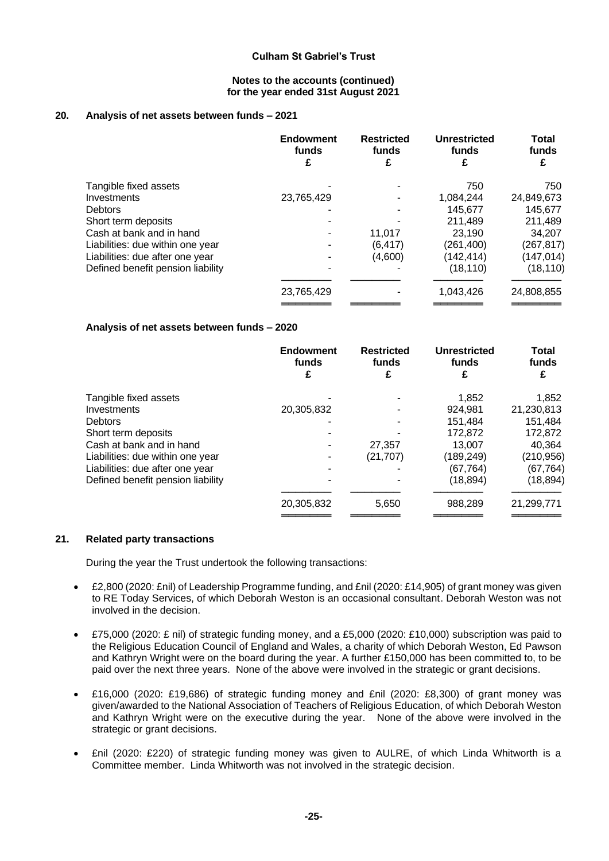#### **Notes to the accounts (continued) for the year ended 31st August 2021**

## **20. Analysis of net assets between funds – 2021**

|                                   | <b>Endowment</b><br>funds<br>£ | <b>Restricted</b><br>funds | <b>Unrestricted</b><br>funds | <b>Total</b><br>funds<br>£ |
|-----------------------------------|--------------------------------|----------------------------|------------------------------|----------------------------|
| Tangible fixed assets             |                                |                            | 750                          | 750                        |
| Investments                       | 23,765,429                     |                            | 1,084,244                    | 24,849,673                 |
| <b>Debtors</b>                    |                                |                            | 145,677                      | 145,677                    |
| Short term deposits               |                                |                            | 211,489                      | 211,489                    |
| Cash at bank and in hand          |                                | 11.017                     | 23.190                       | 34,207                     |
| Liabilities: due within one year  |                                | (6, 417)                   | (261,400)                    | (267, 817)                 |
| Liabilities: due after one year   |                                | (4,600)                    | (142,414)                    | (147, 014)                 |
| Defined benefit pension liability |                                |                            | (18, 110)                    | (18, 110)                  |
|                                   | 23,765,429                     |                            | 1,043,426                    | 24,808,855                 |
|                                   |                                |                            |                              |                            |

#### **Analysis of net assets between funds – 2020**

|                                   | <b>Endowment</b><br>funds<br>£ | <b>Restricted</b><br>funds | <b>Unrestricted</b><br>funds | Total<br>funds<br>£ |
|-----------------------------------|--------------------------------|----------------------------|------------------------------|---------------------|
| Tangible fixed assets             |                                |                            | 1,852                        | 1,852               |
| Investments                       | 20,305,832                     |                            | 924,981                      | 21,230,813          |
| <b>Debtors</b>                    |                                |                            | 151,484                      | 151,484             |
| Short term deposits               |                                |                            | 172,872                      | 172,872             |
| Cash at bank and in hand          |                                | 27,357                     | 13,007                       | 40,364              |
| Liabilities: due within one year  |                                | (21, 707)                  | (189,249)                    | (210, 956)          |
| Liabilities: due after one year   |                                |                            | (67, 764)                    | (67, 764)           |
| Defined benefit pension liability |                                |                            | (18, 894)                    | (18,894)            |
|                                   | 20,305,832                     | 5,650                      | 988,289                      | 21,299,771          |
|                                   |                                |                            |                              |                     |

#### **21. Related party transactions**

During the year the Trust undertook the following transactions:

- £2,800 (2020: £nil) of Leadership Programme funding, and £nil (2020: £14,905) of grant money was given to RE Today Services, of which Deborah Weston is an occasional consultant. Deborah Weston was not involved in the decision.
- £75,000 (2020: £ nil) of strategic funding money, and a £5,000 (2020: £10,000) subscription was paid to the Religious Education Council of England and Wales, a charity of which Deborah Weston, Ed Pawson and Kathryn Wright were on the board during the year. A further £150,000 has been committed to, to be paid over the next three years. None of the above were involved in the strategic or grant decisions.
- £16,000 (2020: £19,686) of strategic funding money and £nil (2020: £8,300) of grant money was given/awarded to the National Association of Teachers of Religious Education, of which Deborah Weston and Kathryn Wright were on the executive during the year. None of the above were involved in the strategic or grant decisions.
- £nil (2020: £220) of strategic funding money was given to AULRE, of which Linda Whitworth is a Committee member. Linda Whitworth was not involved in the strategic decision.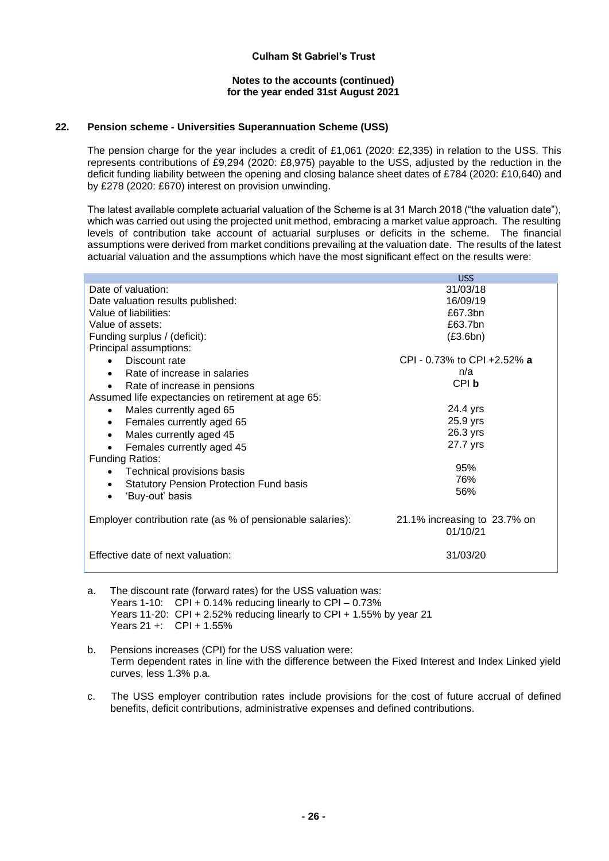#### **Notes to the accounts (continued) for the year ended 31st August 2021**

## **22. Pension scheme - Universities Superannuation Scheme (USS)**

The pension charge for the year includes a credit of £1,061 (2020: £2,335) in relation to the USS. This represents contributions of £9,294 (2020: £8,975) payable to the USS, adjusted by the reduction in the deficit funding liability between the opening and closing balance sheet dates of £784 (2020: £10,640) and by £278 (2020: £670) interest on provision unwinding.

The latest available complete actuarial valuation of the Scheme is at 31 March 2018 ("the valuation date"), which was carried out using the projected unit method, embracing a market value approach. The resulting levels of contribution take account of actuarial surpluses or deficits in the scheme. The financial assumptions were derived from market conditions prevailing at the valuation date. The results of the latest actuarial valuation and the assumptions which have the most significant effect on the results were:

|                                                             | <b>USS</b>                   |
|-------------------------------------------------------------|------------------------------|
| Date of valuation:                                          | 31/03/18                     |
| Date valuation results published:                           | 16/09/19                     |
| Value of liabilities:                                       | £67.3bn                      |
| Value of assets:                                            | £63.7bn                      |
| Funding surplus / (deficit):                                | (E3.6bn)                     |
| Principal assumptions:                                      |                              |
| Discount rate                                               | CPI - 0.73% to CPI +2.52% a  |
| Rate of increase in salaries<br>$\bullet$                   | n/a                          |
| Rate of increase in pensions<br>$\bullet$                   | CPI b                        |
| Assumed life expectancies on retirement at age 65:          |                              |
| Males currently aged 65<br>$\bullet$                        | 24.4 yrs                     |
| Females currently aged 65<br>$\bullet$                      | 25.9 yrs                     |
| Males currently aged 45<br>$\bullet$                        | 26.3 yrs                     |
| Females currently aged 45                                   | 27.7 yrs                     |
| <b>Funding Ratios:</b>                                      |                              |
| Technical provisions basis<br>$\bullet$                     | 95%                          |
| <b>Statutory Pension Protection Fund basis</b><br>$\bullet$ | 76%                          |
| 'Buy-out' basis                                             | 56%                          |
|                                                             |                              |
| Employer contribution rate (as % of pensionable salaries):  | 21.1% increasing to 23.7% on |
|                                                             | 01/10/21                     |
|                                                             |                              |
| Effective date of next valuation:                           | 31/03/20                     |
|                                                             |                              |

- a. The discount rate (forward rates) for the USS valuation was: Years 1-10: CPI + 0.14% reducing linearly to CPI – 0.73% Years 11-20: CPI + 2.52% reducing linearly to CPI + 1.55% by year 21 Years 21 +: CPI + 1.55%
- b. Pensions increases (CPI) for the USS valuation were: Term dependent rates in line with the difference between the Fixed Interest and Index Linked yield curves, less 1.3% p.a.
- c. The USS employer contribution rates include provisions for the cost of future accrual of defined benefits, deficit contributions, administrative expenses and defined contributions.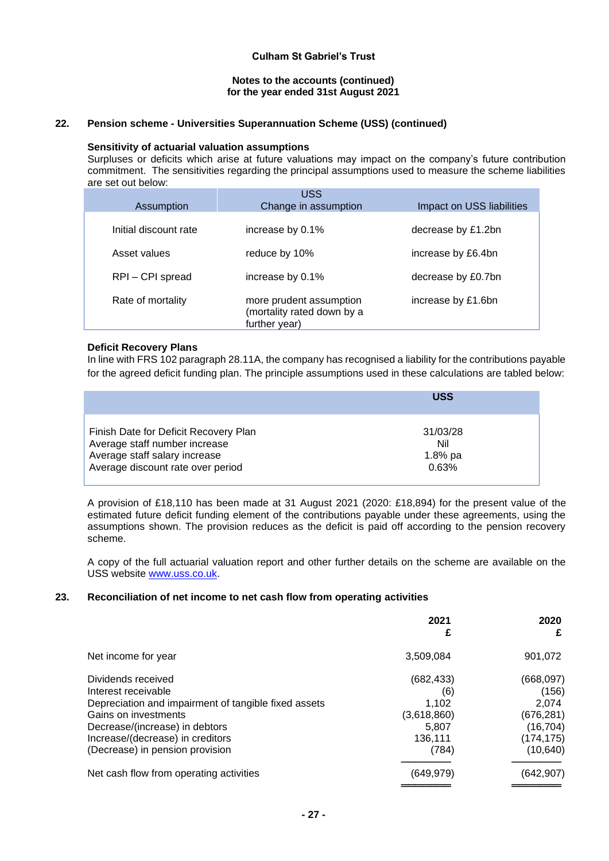#### **Notes to the accounts (continued) for the year ended 31st August 2021**

# **22. Pension scheme - Universities Superannuation Scheme (USS) (continued)**

## **Sensitivity of actuarial valuation assumptions**

Surpluses or deficits which arise at future valuations may impact on the company's future contribution commitment. The sensitivities regarding the principal assumptions used to measure the scheme liabilities are set out below:

| Assumption            | <b>USS</b><br>Change in assumption                                     | Impact on USS liabilities |
|-----------------------|------------------------------------------------------------------------|---------------------------|
| Initial discount rate | increase by 0.1%                                                       | decrease by £1.2bn        |
| Asset values          | reduce by 10%                                                          | increase by £6.4bn        |
| RPI-CPI spread        | increase by 0.1%                                                       | decrease by £0.7bn        |
| Rate of mortality     | more prudent assumption<br>(mortality rated down by a<br>further year) | increase by £1.6bn        |

## **Deficit Recovery Plans**

In line with FRS 102 paragraph 28.11A, the company has recognised a liability for the contributions payable for the agreed deficit funding plan. The principle assumptions used in these calculations are tabled below:

|                                       | <b>USS</b> |
|---------------------------------------|------------|
| Finish Date for Deficit Recovery Plan | 31/03/28   |
| Average staff number increase         | Nil        |
| Average staff salary increase         | $1.8%$ pa  |
| Average discount rate over period     | 0.63%      |

A provision of £18,110 has been made at 31 August 2021 (2020: £18,894) for the present value of the estimated future deficit funding element of the contributions payable under these agreements, using the assumptions shown. The provision reduces as the deficit is paid off according to the pension recovery scheme.

A copy of the full actuarial valuation report and other further details on the scheme are available on the USS website [www.uss.co.uk.](http://www.uss.co.uk/)

#### **23. Reconciliation of net income to net cash flow from operating activities**

|                                                                                                                                                                                                                                    | 2021<br>£                                                              | 2020<br>£                                                                          |
|------------------------------------------------------------------------------------------------------------------------------------------------------------------------------------------------------------------------------------|------------------------------------------------------------------------|------------------------------------------------------------------------------------|
| Net income for year                                                                                                                                                                                                                | 3,509,084                                                              | 901,072                                                                            |
| Dividends received<br>Interest receivable<br>Depreciation and impairment of tangible fixed assets<br>Gains on investments<br>Decrease/(increase) in debtors<br>Increase/(decrease) in creditors<br>(Decrease) in pension provision | (682, 433)<br>(6)<br>1.102<br>(3,618,860)<br>5.807<br>136,111<br>(784) | (668, 097)<br>(156)<br>2.074<br>(676, 281)<br>(16, 704)<br>(174, 175)<br>(10, 640) |
| Net cash flow from operating activities                                                                                                                                                                                            | (649, 979)                                                             | (642, 907)                                                                         |